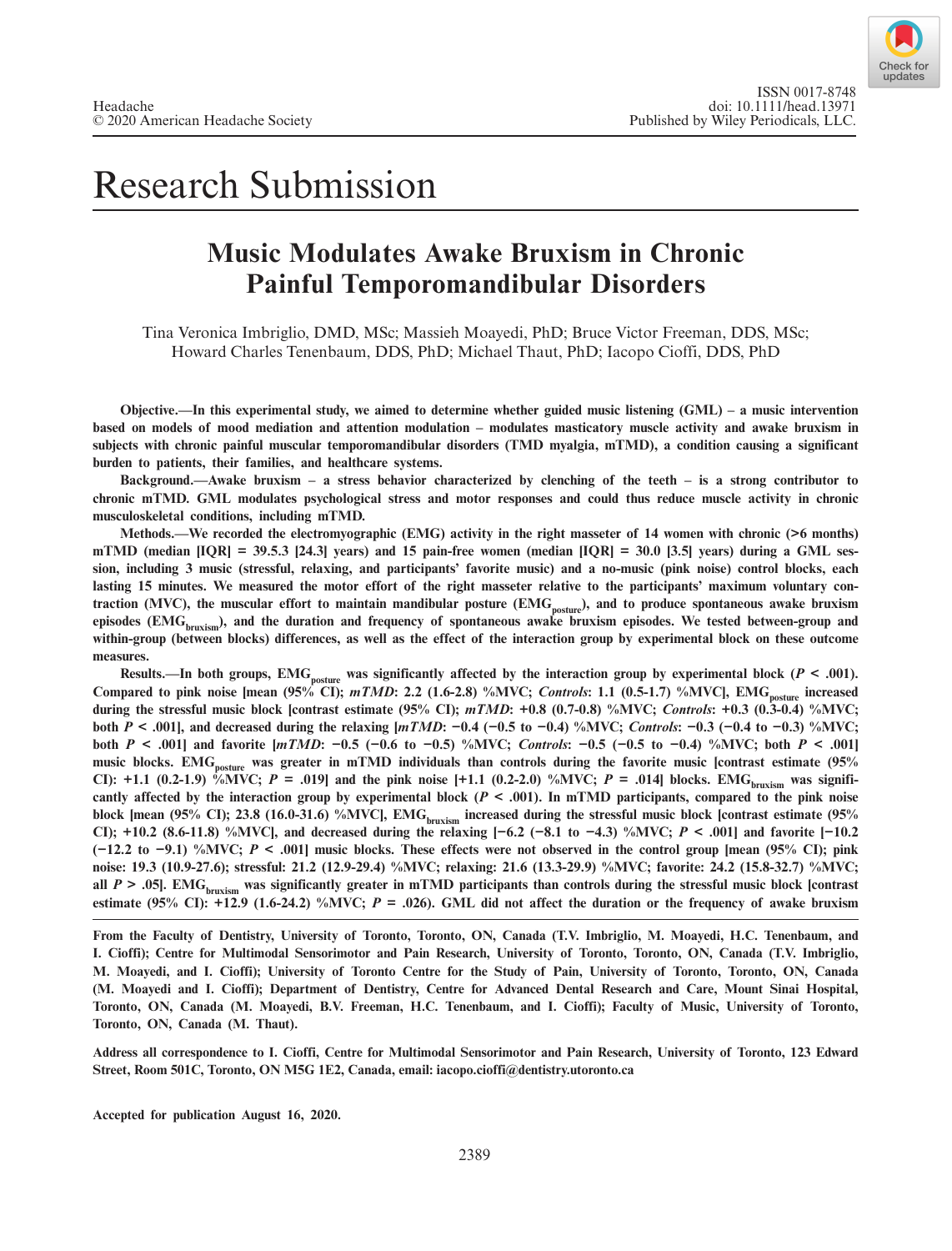Check fo undates

# Research Submission

## **Music Modulates Awake Bruxism in Chronic Painful Temporomandibular Disorders**

Tina Veronica Imbriglio, DMD, MSc; Massieh Moayedi, PhD; Bruce Victor Freeman, DDS, MSc; Howard Charles Tenenbaum, DDS, PhD; Michael Thaut, PhD; Iacopo Cioffi, DDS, PhD

**Objective.—In this experimental study, we aimed to determine whether guided music listening (GML) – a music intervention based on models of mood mediation and attention modulation – modulates masticatory muscle activity and awake bruxism in subjects with chronic painful muscular temporomandibular disorders (TMD myalgia, mTMD), a condition causing a significant burden to patients, their families, and healthcare systems.**

**Background.—Awake bruxism – a stress behavior characterized by clenching of the teeth – is a strong contributor to chronic mTMD. GML modulates psychological stress and motor responses and could thus reduce muscle activity in chronic musculoskeletal conditions, including mTMD.**

**Methods.—We recorded the electromyographic (EMG) activity in the right masseter of 14 women with chronic (>6 months) mTMD (median [IQR] = 39.5.3 [24.3] years) and 15 pain-free women (median [IQR] = 30.0 [3.5] years) during a GML session, including 3 music (stressful, relaxing, and participants' favorite music) and a no-music (pink noise) control blocks, each lasting 15 minutes. We measured the motor effort of the right masseter relative to the participants' maximum voluntary con**traction (MVC), the muscular effort to maintain mandibular posture (EMG<sub>posture</sub>), and to produce spontaneous awake bruxism episodes (EMG<sub>bruxism</sub>), and the duration and frequency of spontaneous awake bruxism episodes. We tested between-group and **within-group (between blocks) differences, as well as the effect of the interaction group by experimental block on these outcome measures.**

Results.—In both groups,  $EMG<sub>posture</sub>$  was significantly affected by the interaction group by experimental block ( $P < .001$ ). **Compared to pink noise [mean (95% CI);** *mTMD***: 2.2 (1.6-2.8) %MVC;** *Controls***: 1.1 (0.5-1.7) %MVC], EMGposture increased during the stressful music block [contrast estimate (95% CI);** *mTMD***: +0.8 (0.7-0.8) %MVC;** *Controls***: +0.3 (0.3-0.4) %MVC; both** *P* **< .001], and decreased during the relaxing [***mTMD***: −0.4 (−0.5 to −0.4) %MVC;** *Controls***: −0.3 (−0.4 to −0.3) %MVC; both** *P* **< .001] and favorite [***mTMD***: −0.5 (−0.6 to −0.5) %MVC;** *Controls***: −0.5 (−0.5 to −0.4) %MVC; both** *P* **< .001]**  music blocks. EMG<sub>posture</sub> was greater in mTMD individuals than controls during the favorite music [contrast estimate (95% **CI**): +1.1 (0.2-1.9)  $\sqrt[6]{\text{MVC}}$ ; *P* = .019] and the pink noise [+1.1 (0.2-2.0)  $\sqrt[6]{\text{MVC}}$ ; *P* = .014] blocks. EMG<sub>bruxism</sub> was signifi**cantly affected by the interaction group by experimental block (***P* **< .001). In mTMD participants, compared to the pink noise**  block [mean (95% CI); 23.8 (16.0-31.6) %MVC], EMG<sub>bruxism</sub> increased during the stressful music block [contrast estimate (95% **CI); +10.2 (8.6-11.8) %MVC], and decreased during the relaxing [−6.2 (−8.1 to −4.3) %MVC;** *P* **< .001] and favorite [−10.2 (−12.2 to −9.1) %MVC;** *P* **< .001] music blocks. These effects were not observed in the control group [mean (95% CI); pink noise: 19.3 (10.9-27.6); stressful: 21.2 (12.9-29.4) %MVC; relaxing: 21.6 (13.3-29.9) %MVC; favorite: 24.2 (15.8-32.7) %MVC;**  all  $P > 0.05$ . EMG<sub>bruxism</sub> was significantly greater in mTMD participants than controls during the stressful music block [contrast estimate (95% CI): +12.9 (1.6-24.2) %MVC;  $P = .026$ ). GML did not affect the duration or the frequency of awake bruxism

**From the Faculty of Dentistry, University of Toronto, Toronto, ON, Canada (T.V. Imbriglio, M. Moayedi, H.C. Tenenbaum, and I. Cioffi); Centre for Multimodal Sensorimotor and Pain Research, University of Toronto, Toronto, ON, Canada (T.V. Imbriglio, M. Moayedi, and I. Cioffi); University of Toronto Centre for the Study of Pain, University of Toronto, Toronto, ON, Canada (M. Moayedi and I. Cioffi); Department of Dentistry, Centre for Advanced Dental Research and Care, Mount Sinai Hospital, Toronto, ON, Canada (M. Moayedi, B.V. Freeman, H.C. Tenenbaum, and I. Cioffi); Faculty of Music, University of Toronto, Toronto, ON, Canada (M. Thaut).**

**Address all correspondence to I. Cioffi, Centre for Multimodal Sensorimotor and Pain Research, University of Toronto, 123 Edward Street, Room 501C, Toronto, ON M5G 1E2, Canada, email: [iacopo.cioffi@dentistry.utoronto.ca](mailto:iacopo.cioffi@dentistry.utoronto.ca)**

**Accepted for publication August 16, 2020.**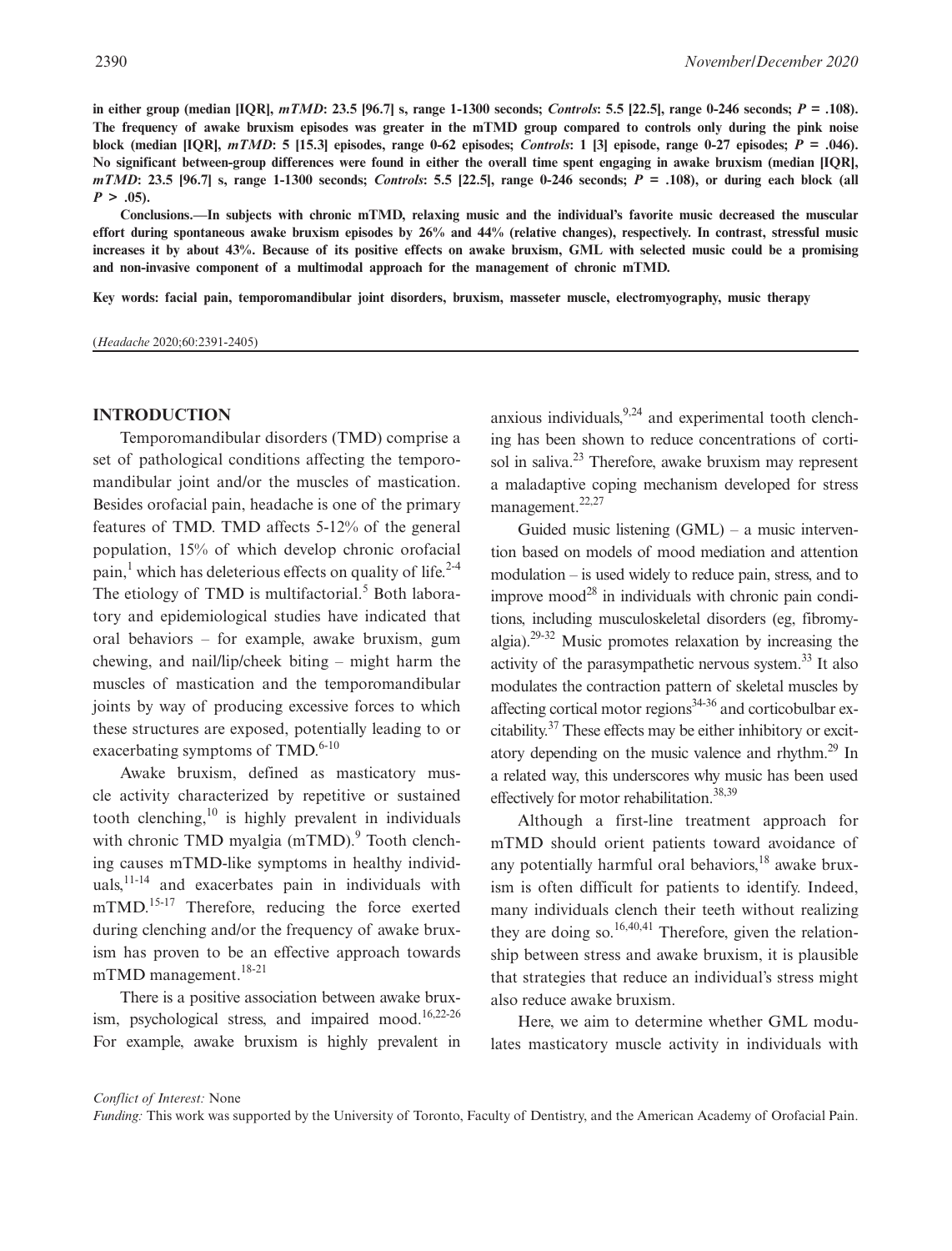**in either group (median [IQR],** *mTMD***: 23.5 [96.7] s, range 1-1300 seconds;** *Controls***: 5.5 [22.5], range 0-246 seconds;** *P* **= .108). The frequency of awake bruxism episodes was greater in the mTMD group compared to controls only during the pink noise**  block (median [IQR],  $mTMD$ : 5 [15.3] episodes, range 0-62 episodes; *Controls*: 1 [3] episode, range 0-27 episodes;  $P = .046$ . **No significant between-group differences were found in either the overall time spent engaging in awake bruxism (median [IQR],**  *mTMD***: 23.5 [96.7] s, range 1-1300 seconds;** *Controls***: 5.5 [22.5], range 0-246 seconds;** *P* **= .108), or during each block (all**   $P > .05$ ).

**Conclusions.—In subjects with chronic mTMD, relaxing music and the individual's favorite music decreased the muscular effort during spontaneous awake bruxism episodes by 26% and 44% (relative changes), respectively. In contrast, stressful music increases it by about 43%. Because of its positive effects on awake bruxism, GML with selected music could be a promising and non-invasive component of a multimodal approach for the management of chronic mTMD.**

**Key words: facial pain, temporomandibular joint disorders, bruxism, masseter muscle, electromyography, music therapy**

#### **INTRODUCTION**

Temporomandibular disorders (TMD) comprise a set of pathological conditions affecting the temporomandibular joint and/or the muscles of mastication. Besides orofacial pain, headache is one of the primary features of TMD. TMD affects 5-12% of the general population, 15% of which develop chronic orofacial pain,<sup>1</sup> which has deleterious effects on quality of life.<sup>2-4</sup> The etiology of TMD is multifactorial.<sup>5</sup> Both laboratory and epidemiological studies have indicated that oral behaviors – for example, awake bruxism, gum chewing, and nail/lip/cheek biting – might harm the muscles of mastication and the temporomandibular joints by way of producing excessive forces to which these structures are exposed, potentially leading to or exacerbating symptoms of  $\text{TMD}$ .<sup>6-10</sup>

Awake bruxism, defined as masticatory muscle activity characterized by repetitive or sustained tooth clenching, $10$  is highly prevalent in individuals with chronic TMD myalgia (mTMD).<sup>9</sup> Tooth clenching causes mTMD-like symptoms in healthy individuals,  $11-14$  and exacerbates pain in individuals with mTMD.<sup>15-17</sup> Therefore, reducing the force exerted during clenching and/or the frequency of awake bruxism has proven to be an effective approach towards  $mTMD$  management.<sup>18-21</sup>

There is a positive association between awake bruxism, psychological stress, and impaired mood.<sup>16,22-26</sup> For example, awake bruxism is highly prevalent in

anxious individuals,  $9.24$  and experimental tooth clenching has been shown to reduce concentrations of cortisol in saliva.<sup>23</sup> Therefore, awake bruxism may represent a maladaptive coping mechanism developed for stress management.<sup>22,27</sup>

Guided music listening (GML) – a music intervention based on models of mood mediation and attention modulation – is used widely to reduce pain, stress, and to improve mood $^{28}$  in individuals with chronic pain conditions, including musculoskeletal disorders (eg, fibromyalgia).29-32 Music promotes relaxation by increasing the activity of the parasympathetic nervous system. $^{33}$  It also modulates the contraction pattern of skeletal muscles by affecting cortical motor regions<sup>34-36</sup> and corticobulbar excitability.37 These effects may be either inhibitory or excitatory depending on the music valence and rhythm.29 In a related way, this underscores why music has been used effectively for motor rehabilitation.<sup>38,39</sup>

Although a first-line treatment approach for mTMD should orient patients toward avoidance of any potentially harmful oral behaviors, $18$  awake bruxism is often difficult for patients to identify. Indeed, many individuals clench their teeth without realizing they are doing so.<sup>16,40,41</sup> Therefore, given the relationship between stress and awake bruxism, it is plausible that strategies that reduce an individual's stress might also reduce awake bruxism.

Here, we aim to determine whether GML modulates masticatory muscle activity in individuals with

*Conflict of Interest:* None

*Funding:* This work was supported by the University of Toronto, Faculty of Dentistry, and the American Academy of Orofacial Pain.

<sup>(</sup>*Headache* 2020;60:2391-2405)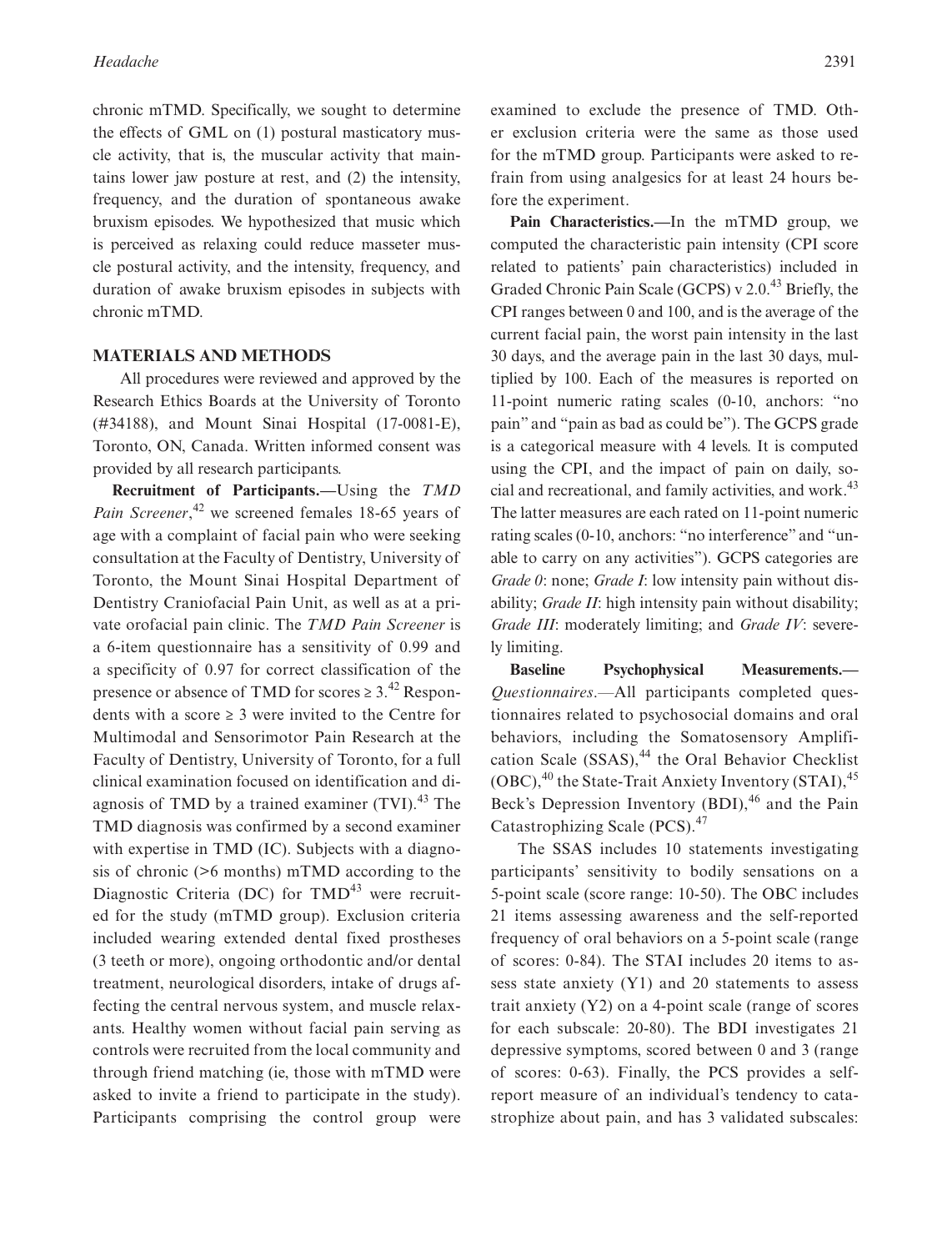chronic mTMD. Specifically, we sought to determine the effects of GML on (1) postural masticatory muscle activity, that is, the muscular activity that maintains lower jaw posture at rest, and (2) the intensity, frequency, and the duration of spontaneous awake bruxism episodes. We hypothesized that music which is perceived as relaxing could reduce masseter muscle postural activity, and the intensity, frequency, and duration of awake bruxism episodes in subjects with chronic mTMD.

#### **MATERIALS AND METHODS**

All procedures were reviewed and approved by the Research Ethics Boards at the University of Toronto (#34188), and Mount Sinai Hospital (17-0081-E), Toronto, ON, Canada. Written informed consent was provided by all research participants.

**Recruitment of Participants.—**Using the *TMD*  Pain Screener,<sup>42</sup> we screened females 18-65 years of age with a complaint of facial pain who were seeking consultation at the Faculty of Dentistry, University of Toronto, the Mount Sinai Hospital Department of Dentistry Craniofacial Pain Unit, as well as at a private orofacial pain clinic. The *TMD Pain Screener* is a 6-item questionnaire has a sensitivity of 0.99 and a specificity of 0.97 for correct classification of the presence or absence of TMD for scores  $\geq 3$ .<sup>42</sup> Respondents with a score  $\geq 3$  were invited to the Centre for Multimodal and Sensorimotor Pain Research at the Faculty of Dentistry, University of Toronto, for a full clinical examination focused on identification and diagnosis of TMD by a trained examiner  $(TVI)$ .<sup>43</sup> The TMD diagnosis was confirmed by a second examiner with expertise in TMD (IC). Subjects with a diagnosis of chronic (>6 months) mTMD according to the Diagnostic Criteria (DC) for TMD<sup>43</sup> were recruited for the study (mTMD group). Exclusion criteria included wearing extended dental fixed prostheses (3 teeth or more), ongoing orthodontic and/or dental treatment, neurological disorders, intake of drugs affecting the central nervous system, and muscle relaxants. Healthy women without facial pain serving as controls were recruited from the local community and through friend matching (ie, those with mTMD were asked to invite a friend to participate in the study). Participants comprising the control group were

examined to exclude the presence of TMD. Other exclusion criteria were the same as those used for the mTMD group. Participants were asked to refrain from using analgesics for at least 24 hours before the experiment.

**Pain Characteristics.—**In the mTMD group, we computed the characteristic pain intensity (CPI score related to patients' pain characteristics) included in Graded Chronic Pain Scale (GCPS) v 2.0.<sup>43</sup> Briefly, the CPI ranges between 0 and 100, and is the average of the current facial pain, the worst pain intensity in the last 30 days, and the average pain in the last 30 days, multiplied by 100. Each of the measures is reported on 11-point numeric rating scales (0-10, anchors: "no pain" and "pain as bad as could be"). The GCPS grade is a categorical measure with 4 levels. It is computed using the CPI, and the impact of pain on daily, social and recreational, and family activities, and work.<sup>43</sup> The latter measures are each rated on 11-point numeric rating scales (0-10, anchors: "no interference" and "unable to carry on any activities"). GCPS categories are *Grade 0*: none; *Grade I*: low intensity pain without disability; *Grade II*: high intensity pain without disability; *Grade III*: moderately limiting; and *Grade IV*: severely limiting.

**Baseline Psychophysical Measurements.—** *Questionnaires*.—All participants completed questionnaires related to psychosocial domains and oral behaviors, including the Somatosensory Amplification Scale  $(SSAS)$ ,<sup>44</sup> the Oral Behavior Checklist  $(OBC)$ , <sup>40</sup> the State-Trait Anxiety Inventory (STAI), <sup>45</sup> Beck's Depression Inventory  $(BDI)$ ,<sup>46</sup> and the Pain Catastrophizing Scale (PCS).<sup>47</sup>

The SSAS includes 10 statements investigating participants' sensitivity to bodily sensations on a 5-point scale (score range: 10-50). The OBC includes 21 items assessing awareness and the self-reported frequency of oral behaviors on a 5-point scale (range of scores: 0-84). The STAI includes 20 items to assess state anxiety (Y1) and 20 statements to assess trait anxiety (Y2) on a 4-point scale (range of scores for each subscale: 20-80). The BDI investigates 21 depressive symptoms, scored between 0 and 3 (range of scores: 0-63). Finally, the PCS provides a selfreport measure of an individual's tendency to catastrophize about pain, and has 3 validated subscales: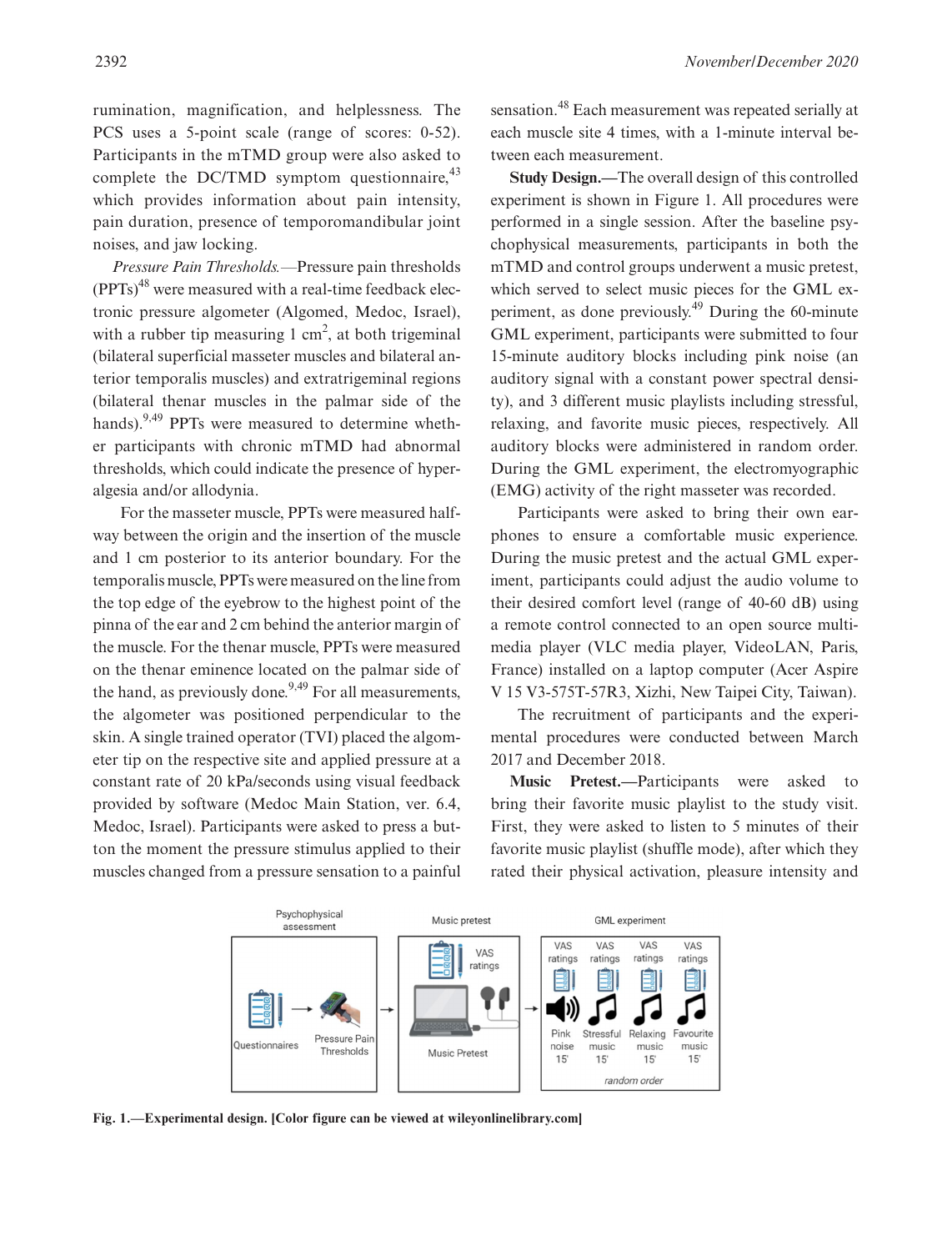rumination, magnification, and helplessness. The PCS uses a 5-point scale (range of scores: 0-52). Participants in the mTMD group were also asked to complete the  $DC/TMD$  symptom questionnaire,  $43$ which provides information about pain intensity, pain duration, presence of temporomandibular joint noises, and jaw locking.

*Pressure Pain Thresholds.—*Pressure pain thresholds  $(PPTs)^{48}$  were measured with a real-time feedback electronic pressure algometer (Algomed, Medoc, Israel), with a rubber tip measuring  $1 \text{ cm}^2$ , at both trigeminal (bilateral superficial masseter muscles and bilateral anterior temporalis muscles) and extratrigeminal regions (bilateral thenar muscles in the palmar side of the hands). $9,49$  PPTs were measured to determine whether participants with chronic mTMD had abnormal thresholds, which could indicate the presence of hyperalgesia and/or allodynia.

For the masseter muscle, PPTs were measured halfway between the origin and the insertion of the muscle and 1 cm posterior to its anterior boundary. For the temporalis muscle, PPTs were measured on the line from the top edge of the eyebrow to the highest point of the pinna of the ear and 2 cm behind the anterior margin of the muscle. For the thenar muscle, PPTs were measured on the thenar eminence located on the palmar side of the hand, as previously done.<sup>9,49</sup> For all measurements, the algometer was positioned perpendicular to the skin. A single trained operator (TVI) placed the algometer tip on the respective site and applied pressure at a constant rate of 20 kPa/seconds using visual feedback provided by software (Medoc Main Station, ver. 6.4, Medoc, Israel). Participants were asked to press a button the moment the pressure stimulus applied to their muscles changed from a pressure sensation to a painful

sensation.48 Each measurement was repeated serially at each muscle site 4 times, with a 1-minute interval between each measurement.

**Study Design.—**The overall design of this controlled experiment is shown in Figure 1. All procedures were performed in a single session. After the baseline psychophysical measurements, participants in both the mTMD and control groups underwent a music pretest, which served to select music pieces for the GML experiment, as done previously.49 During the 60-minute GML experiment, participants were submitted to four 15-minute auditory blocks including pink noise (an auditory signal with a constant power spectral density), and 3 different music playlists including stressful, relaxing, and favorite music pieces, respectively. All auditory blocks were administered in random order. During the GML experiment, the electromyographic (EMG) activity of the right masseter was recorded.

Participants were asked to bring their own earphones to ensure a comfortable music experience. During the music pretest and the actual GML experiment, participants could adjust the audio volume to their desired comfort level (range of 40-60 dB) using a remote control connected to an open source multimedia player (VLC media player, VideoLAN, Paris, France) installed on a laptop computer (Acer Aspire V 15 V3-575T-57R3, Xizhi, New Taipei City, Taiwan).

The recruitment of participants and the experimental procedures were conducted between March 2017 and December 2018.

**Music Pretest.—**Participants were asked to bring their favorite music playlist to the study visit. First, they were asked to listen to 5 minutes of their favorite music playlist (shuffle mode), after which they rated their physical activation, pleasure intensity and



**Fig. 1.—Experimental design. [Color figure can be viewed at [wileyonlinelibrary.com\]](www.wileyonlinelibrary.com)**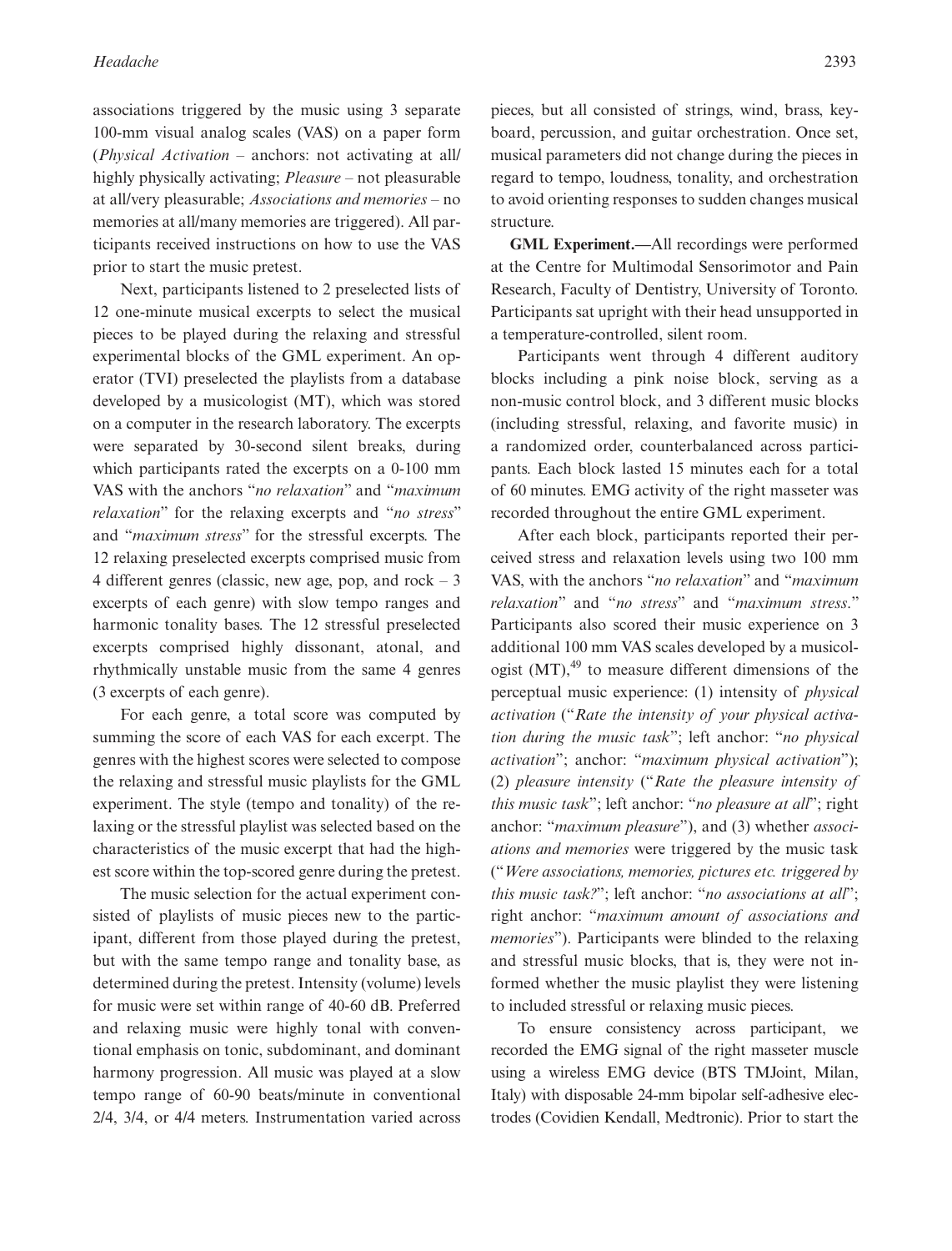associations triggered by the music using 3 separate 100-mm visual analog scales (VAS) on a paper form (*Physical Activation* – anchors: not activating at all/ highly physically activating; *Pleasure* – not pleasurable at all/very pleasurable; *Associations and memories* – no memories at all/many memories are triggered). All participants received instructions on how to use the VAS prior to start the music pretest.

Next, participants listened to 2 preselected lists of 12 one-minute musical excerpts to select the musical pieces to be played during the relaxing and stressful experimental blocks of the GML experiment. An operator (TVI) preselected the playlists from a database developed by a musicologist (MT), which was stored on a computer in the research laboratory. The excerpts were separated by 30-second silent breaks, during which participants rated the excerpts on a 0-100 mm VAS with the anchors "*no relaxation*" and "*maximum relaxation*" for the relaxing excerpts and "*no stress*" and "*maximum stress*" for the stressful excerpts. The 12 relaxing preselected excerpts comprised music from 4 different genres (classic, new age, pop, and rock – 3 excerpts of each genre) with slow tempo ranges and harmonic tonality bases. The 12 stressful preselected excerpts comprised highly dissonant, atonal, and rhythmically unstable music from the same 4 genres (3 excerpts of each genre).

For each genre, a total score was computed by summing the score of each VAS for each excerpt. The genres with the highest scores were selected to compose the relaxing and stressful music playlists for the GML experiment. The style (tempo and tonality) of the relaxing or the stressful playlist was selected based on the characteristics of the music excerpt that had the highest score within the top-scored genre during the pretest.

The music selection for the actual experiment consisted of playlists of music pieces new to the participant, different from those played during the pretest, but with the same tempo range and tonality base, as determined during the pretest. Intensity (volume) levels for music were set within range of 40-60 dB. Preferred and relaxing music were highly tonal with conventional emphasis on tonic, subdominant, and dominant harmony progression. All music was played at a slow tempo range of 60-90 beats/minute in conventional 2/4, 3/4, or 4/4 meters. Instrumentation varied across pieces, but all consisted of strings, wind, brass, keyboard, percussion, and guitar orchestration. Once set, musical parameters did not change during the pieces in regard to tempo, loudness, tonality, and orchestration to avoid orienting responses to sudden changes musical structure.

**GML Experiment.—**All recordings were performed at the Centre for Multimodal Sensorimotor and Pain Research, Faculty of Dentistry, University of Toronto. Participants sat upright with their head unsupported in a temperature-controlled, silent room.

Participants went through 4 different auditory blocks including a pink noise block, serving as a non-music control block, and 3 different music blocks (including stressful, relaxing, and favorite music) in a randomized order, counterbalanced across participants. Each block lasted 15 minutes each for a total of 60 minutes. EMG activity of the right masseter was recorded throughout the entire GML experiment.

After each block, participants reported their perceived stress and relaxation levels using two 100 mm VAS, with the anchors "*no relaxation*" and "*maximum relaxation*" and "*no stress*" and "*maximum stress*." Participants also scored their music experience on 3 additional 100 mm VAS scales developed by a musicologist  $(MT)$ ,<sup>49</sup> to measure different dimensions of the perceptual music experience: (1) intensity of *physical activation* ("*Rate the intensity of your physical activation during the music task*"; left anchor: "*no physical activation*"; anchor: "*maximum physical activation*"); (2) *pleasure intensity* ("*Rate the pleasure intensity of this music task*"; left anchor: "*no pleasure at all*"; right anchor: "*maximum pleasure*"), and (3) whether *associations and memories* were triggered by the music task ("*Were associations, memories, pictures etc. triggered by this music task?*"; left anchor: "*no associations at all*"; right anchor: "*maximum amount of associations and memories*"). Participants were blinded to the relaxing and stressful music blocks, that is, they were not informed whether the music playlist they were listening to included stressful or relaxing music pieces.

To ensure consistency across participant, we recorded the EMG signal of the right masseter muscle using a wireless EMG device (BTS TMJoint, Milan, Italy) with disposable 24-mm bipolar self-adhesive electrodes (Covidien Kendall, Medtronic). Prior to start the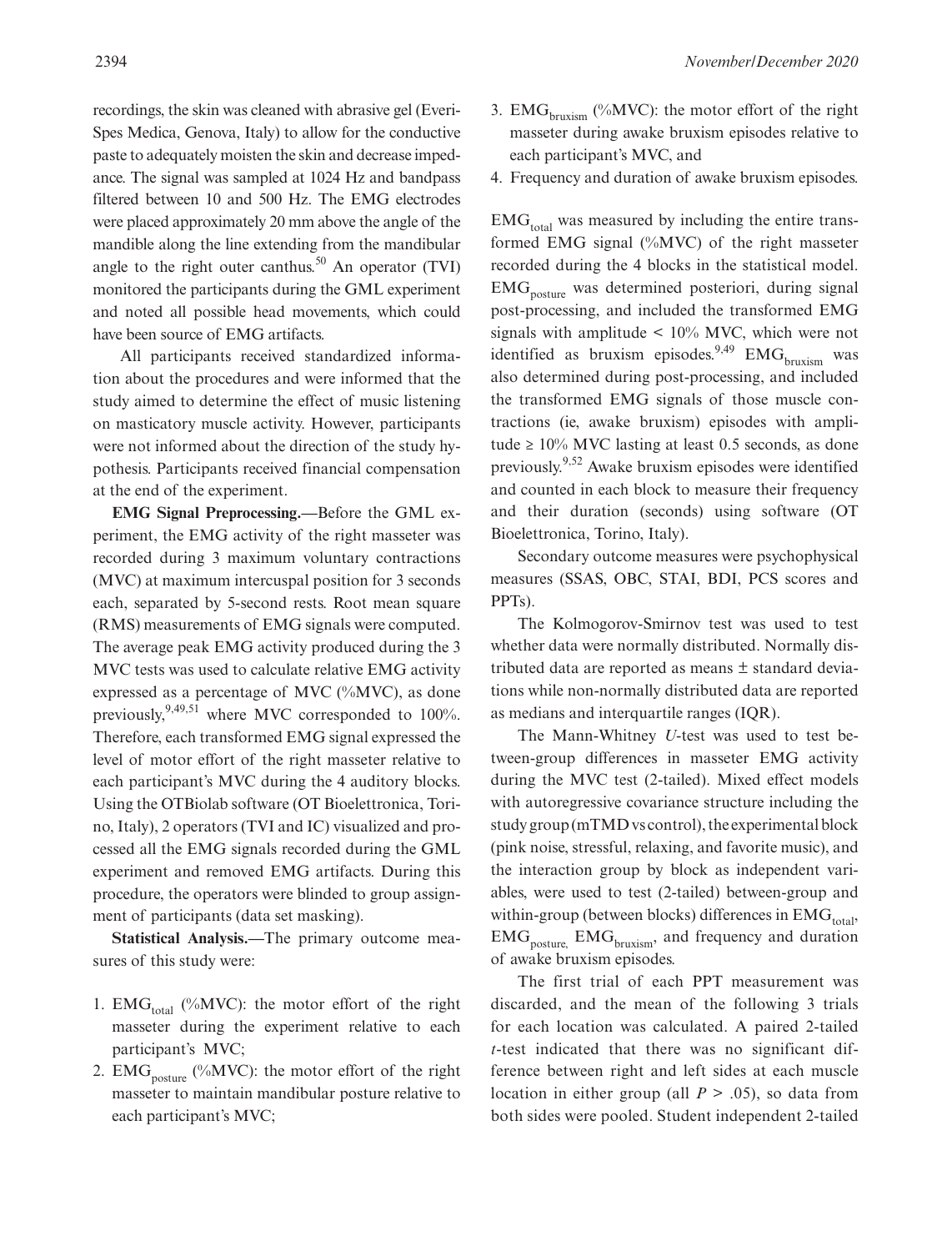recordings, the skin was cleaned with abrasive gel (Everi-Spes Medica, Genova, Italy) to allow for the conductive paste to adequately moisten the skin and decrease impedance. The signal was sampled at 1024 Hz and bandpass filtered between 10 and 500 Hz. The EMG electrodes were placed approximately 20 mm above the angle of the mandible along the line extending from the mandibular angle to the right outer canthus.<sup>50</sup> An operator (TVI) monitored the participants during the GML experiment and noted all possible head movements, which could have been source of EMG artifacts.

All participants received standardized information about the procedures and were informed that the study aimed to determine the effect of music listening on masticatory muscle activity. However, participants were not informed about the direction of the study hypothesis. Participants received financial compensation at the end of the experiment.

**EMG Signal Preprocessing.—**Before the GML experiment, the EMG activity of the right masseter was recorded during 3 maximum voluntary contractions (MVC) at maximum intercuspal position for 3 seconds each, separated by 5-second rests. Root mean square (RMS) measurements of EMG signals were computed. The average peak EMG activity produced during the 3 MVC tests was used to calculate relative EMG activity expressed as a percentage of MVC (%MVC), as done previously,  $9,49,51$  where MVC corresponded to 100%. Therefore, each transformed EMG signal expressed the level of motor effort of the right masseter relative to each participant's MVC during the 4 auditory blocks. Using the OTBiolab software (OT Bioelettronica, Torino, Italy), 2 operators (TVI and IC) visualized and processed all the EMG signals recorded during the GML experiment and removed EMG artifacts. During this procedure, the operators were blinded to group assignment of participants (data set masking).

**Statistical Analysis.—**The primary outcome measures of this study were:

- 1. EMG<sub>total</sub> (%MVC): the motor effort of the right masseter during the experiment relative to each participant's MVC;
- 2.  $EMG<sub>posture</sub>$  (%MVC): the motor effort of the right masseter to maintain mandibular posture relative to each participant's MVC;
- 3. EMG<sub>bruxism</sub> (%MVC): the motor effort of the right masseter during awake bruxism episodes relative to each participant's MVC, and
- 4. Frequency and duration of awake bruxism episodes.

 $EMG<sub>total</sub>$  was measured by including the entire transformed EMG signal (%MVC) of the right masseter recorded during the 4 blocks in the statistical model. EMG<sub>posture</sub> was determined posteriori, during signal post-processing, and included the transformed EMG signals with amplitude  $\leq 10\%$  MVC, which were not identified as bruxism episodes.<sup>9,49</sup> EMG<sub>bruxism</sub> was also determined during post-processing, and included the transformed EMG signals of those muscle contractions (ie, awake bruxism) episodes with amplitude  $\geq 10\%$  MVC lasting at least 0.5 seconds, as done previously.9,52 Awake bruxism episodes were identified and counted in each block to measure their frequency and their duration (seconds) using software (OT Bioelettronica, Torino, Italy).

Secondary outcome measures were psychophysical measures (SSAS, OBC, STAI, BDI, PCS scores and PPTs).

The Kolmogorov-Smirnov test was used to test whether data were normally distributed. Normally distributed data are reported as means ± standard deviations while non-normally distributed data are reported as medians and interquartile ranges (IQR).

The Mann-Whitney *U*-test was used to test between-group differences in masseter EMG activity during the MVC test (2-tailed). Mixed effect models with autoregressive covariance structure including the study group (mTMD vs control), the experimental block (pink noise, stressful, relaxing, and favorite music), and the interaction group by block as independent variables, were used to test (2-tailed) between-group and within-group (between blocks) differences in  $EMG<sub>total</sub>$ ,  $EMG<sub>posture</sub> EMG<sub>brusim</sub>$ , and frequency and duration of awake bruxism episodes.

The first trial of each PPT measurement was discarded, and the mean of the following 3 trials for each location was calculated. A paired 2-tailed *t*-test indicated that there was no significant difference between right and left sides at each muscle location in either group (all  $P > .05$ ), so data from both sides were pooled. Student independent 2-tailed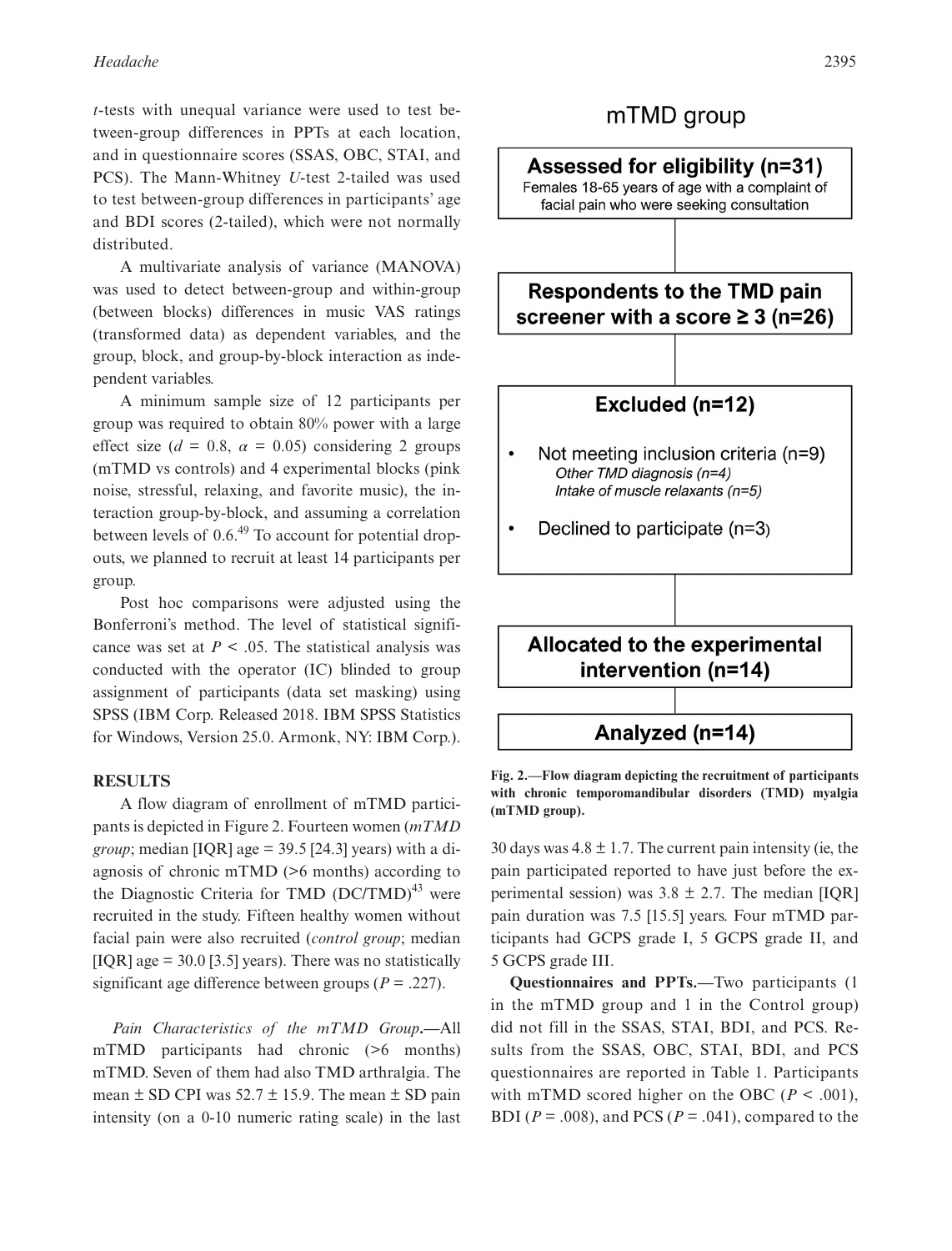*t*-tests with unequal variance were used to test between-group differences in PPTs at each location, and in questionnaire scores (SSAS, OBC, STAI, and PCS). The Mann-Whitney *U*-test 2-tailed was used to test between-group differences in participants' age and BDI scores (2-tailed), which were not normally distributed.

A multivariate analysis of variance (MANOVA) was used to detect between-group and within-group (between blocks) differences in music VAS ratings (transformed data) as dependent variables, and the group, block, and group-by-block interaction as independent variables.

A minimum sample size of 12 participants per group was required to obtain 80% power with a large effect size ( $d = 0.8$ ,  $\alpha = 0.05$ ) considering 2 groups (mTMD vs controls) and 4 experimental blocks (pink noise, stressful, relaxing, and favorite music), the interaction group-by-block, and assuming a correlation between levels of  $0.6<sup>49</sup>$  To account for potential dropouts, we planned to recruit at least 14 participants per group.

Post hoc comparisons were adjusted using the Bonferroni's method. The level of statistical significance was set at  $P < .05$ . The statistical analysis was conducted with the operator (IC) blinded to group assignment of participants (data set masking) using SPSS (IBM Corp. Released 2018. IBM SPSS Statistics for Windows, Version 25.0. Armonk, NY: IBM Corp.).

#### **RESULTS**

A flow diagram of enrollment of mTMD participants is depicted in Figure 2. Fourteen women (*mTMD group*; median [IQR] age = 39.5 [24.3] years) with a diagnosis of chronic mTMD (>6 months) according to the Diagnostic Criteria for TMD  $(DC/TMD)^{43}$  were recruited in the study. Fifteen healthy women without facial pain were also recruited (*control group*; median  $[IQR]$  age = 30.0 [3.5] years). There was no statistically significant age difference between groups (*P* = .227).

*Pain Characteristics of the mTMD Group***.—**All mTMD participants had chronic (>6 months) mTMD. Seven of them had also TMD arthralgia. The mean  $\pm$  SD CPI was 52.7  $\pm$  15.9. The mean  $\pm$  SD pain intensity (on a 0-10 numeric rating scale) in the last

### mTMD group



**Fig. 2.—Flow diagram depicting the recruitment of participants with chronic temporomandibular disorders (TMD) myalgia (mTMD group).**

30 days was  $4.8 \pm 1.7$ . The current pain intensity (ie, the pain participated reported to have just before the experimental session) was  $3.8 \pm 2.7$ . The median [IQR] pain duration was 7.5 [15.5] years. Four mTMD participants had GCPS grade I, 5 GCPS grade II, and 5 GCPS grade III.

**Questionnaires and PPTs.—**Two participants (1 in the mTMD group and 1 in the Control group) did not fill in the SSAS, STAI, BDI, and PCS. Results from the SSAS, OBC, STAI, BDI, and PCS questionnaires are reported in Table 1. Participants with mTMD scored higher on the OBC ( $P < .001$ ), BDI ( $P = .008$ ), and PCS ( $P = .041$ ), compared to the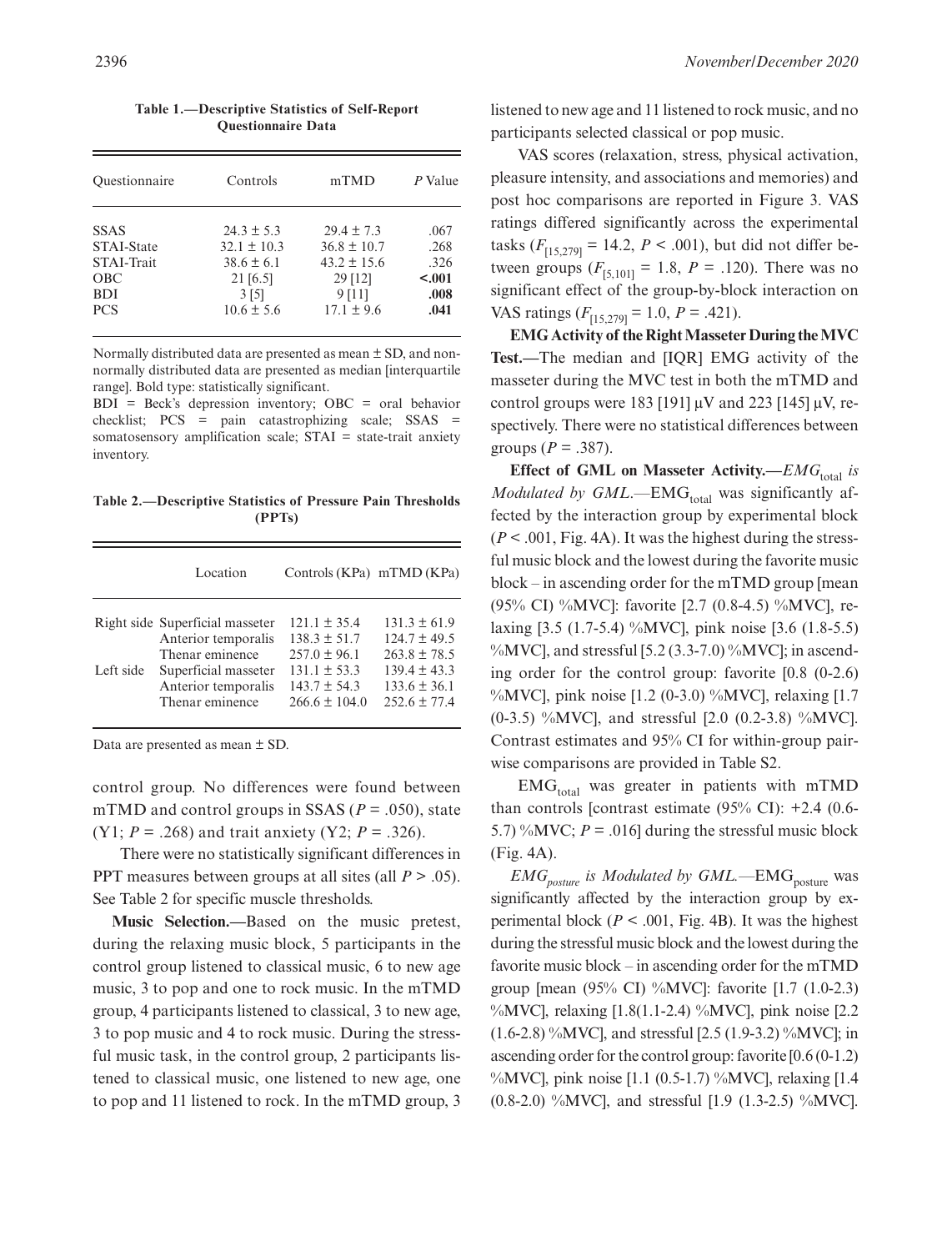| Ouestionnaire     | Controls        | mTMD            | P Value |
|-------------------|-----------------|-----------------|---------|
| <b>SSAS</b>       | $24.3 \pm 5.3$  | $29.4 \pm 7.3$  | .067    |
| STAI-State        | $32.1 \pm 10.3$ | $36.8 \pm 10.7$ | .268    |
| <b>STAI-Trait</b> | $38.6 \pm 6.1$  | $43.2 \pm 15.6$ | .326    |
| <b>OBC</b>        | 21 [6.5]        | 29 [12]         | < .001  |
| <b>BDI</b>        | 3 [5]           | 9 [11]          | .008    |
| <b>PCS</b>        | $10.6 \pm 5.6$  | $17.1 \pm 9.6$  | .041    |

**Table 1.—Descriptive Statistics of Self-Report Questionnaire Data**

Normally distributed data are presented as mean  $\pm$  SD, and nonnormally distributed data are presented as median [interquartile range]. Bold type: statistically significant.

BDI = Beck's depression inventory; OBC = oral behavior checklist; PCS = pain catastrophizing scale; SSAS = somatosensory amplification scale; STAI = state-trait anxiety inventory.

**Table 2.—Descriptive Statistics of Pressure Pain Thresholds (PPTs)**

|           | Location                        | Controls (KPa) mTMD (KPa) |                  |
|-----------|---------------------------------|---------------------------|------------------|
|           | Right side Superficial masseter | $121.1 \pm 35.4$          | $131.3 \pm 61.9$ |
|           | Anterior temporalis             | $138.3 + 51.7$            | $124.7 \pm 49.5$ |
|           | Thenar eminence                 | $257.0 \pm 96.1$          | $263.8 \pm 78.5$ |
| Left side | Superficial masseter            | $131.1 \pm 53.3$          | $139.4 \pm 43.3$ |
|           | Anterior temporalis             | $143.7 \pm 54.3$          | $133.6 \pm 36.1$ |
|           | Thenar eminence                 | $266.6 \pm 104.0$         | $252.6 \pm 77.4$ |

Data are presented as mean ± SD.

control group. No differences were found between mTMD and control groups in SSAS ( $P = .050$ ), state (Y1;  $P = .268$ ) and trait anxiety (Y2;  $P = .326$ ).

There were no statistically significant differences in PPT measures between groups at all sites (all *P* > .05). See Table 2 for specific muscle thresholds.

**Music Selection.—**Based on the music pretest, during the relaxing music block, 5 participants in the control group listened to classical music, 6 to new age music, 3 to pop and one to rock music. In the mTMD group, 4 participants listened to classical, 3 to new age, 3 to pop music and 4 to rock music. During the stressful music task, in the control group, 2 participants listened to classical music, one listened to new age, one to pop and 11 listened to rock. In the mTMD group, 3 listened to new age and 11 listened to rock music, and no participants selected classical or pop music.

VAS scores (relaxation, stress, physical activation, pleasure intensity, and associations and memories) and post hoc comparisons are reported in Figure 3. VAS ratings differed significantly across the experimental tasks  $(F_{[15,279]} = 14.2, P < .001)$ , but did not differ between groups ( $F_{[5,101]} = 1.8$ ,  $P = .120$ ). There was no significant effect of the group-by-block interaction on VAS ratings  $(F_{[15,279]} = 1.0, P = .421)$ .

**EMG Activity of the Right Masseter During the MVC Test.—**The median and [IQR] EMG activity of the masseter during the MVC test in both the mTMD and control groups were 183 [191]  $\mu$ V and 223 [145]  $\mu$ V, respectively. There were no statistical differences between groups  $(P = .387)$ .

**Effect of GML on Masseter Activity.**—*EMG*<sub>total</sub> is *Modulated by GML*.—EMG<sub>total</sub> was significantly affected by the interaction group by experimental block  $(P < .001, Fig. 4A)$ . It was the highest during the stressful music block and the lowest during the favorite music block – in ascending order for the mTMD group [mean (95% CI) %MVC]: favorite [2.7 (0.8-4.5) %MVC], relaxing [3.5 (1.7-5.4) %MVC], pink noise [3.6 (1.8-5.5) %MVC], and stressful [5.2 (3.3-7.0) %MVC]; in ascending order for the control group: favorite [0.8 (0-2.6) %MVC], pink noise [1.2 (0-3.0) %MVC], relaxing [1.7 (0-3.5) %MVC], and stressful [2.0 (0.2-3.8) %MVC]. Contrast estimates and 95% CI for within-group pairwise comparisons are provided in Table S2.

 $EMG<sub>total</sub>$  was greater in patients with mTMD than controls [contrast estimate  $(95\% \text{ CI}): +2.4 (0.6-$ 5.7) %MVC;  $P = .016$  during the stressful music block (Fig. 4A).

*EMG*<sub>posture</sub> is Modulated by GML.—EMG<sub>posture</sub> was significantly affected by the interaction group by experimental block ( $P < .001$ , Fig. 4B). It was the highest during the stressful music block and the lowest during the favorite music block – in ascending order for the mTMD group [mean (95% CI) %MVC]: favorite [1.7 (1.0-2.3) %MVC], relaxing [1.8(1.1-2.4) %MVC], pink noise [2.2 (1.6-2.8) %MVC], and stressful [2.5 (1.9-3.2) %MVC]; in ascending order for the control group: favorite [0.6 (0-1.2) %MVC], pink noise [1.1 (0.5-1.7) %MVC], relaxing [1.4  $(0.8-2.0)$  %MVC], and stressful [1.9 (1.3-2.5) %MVC].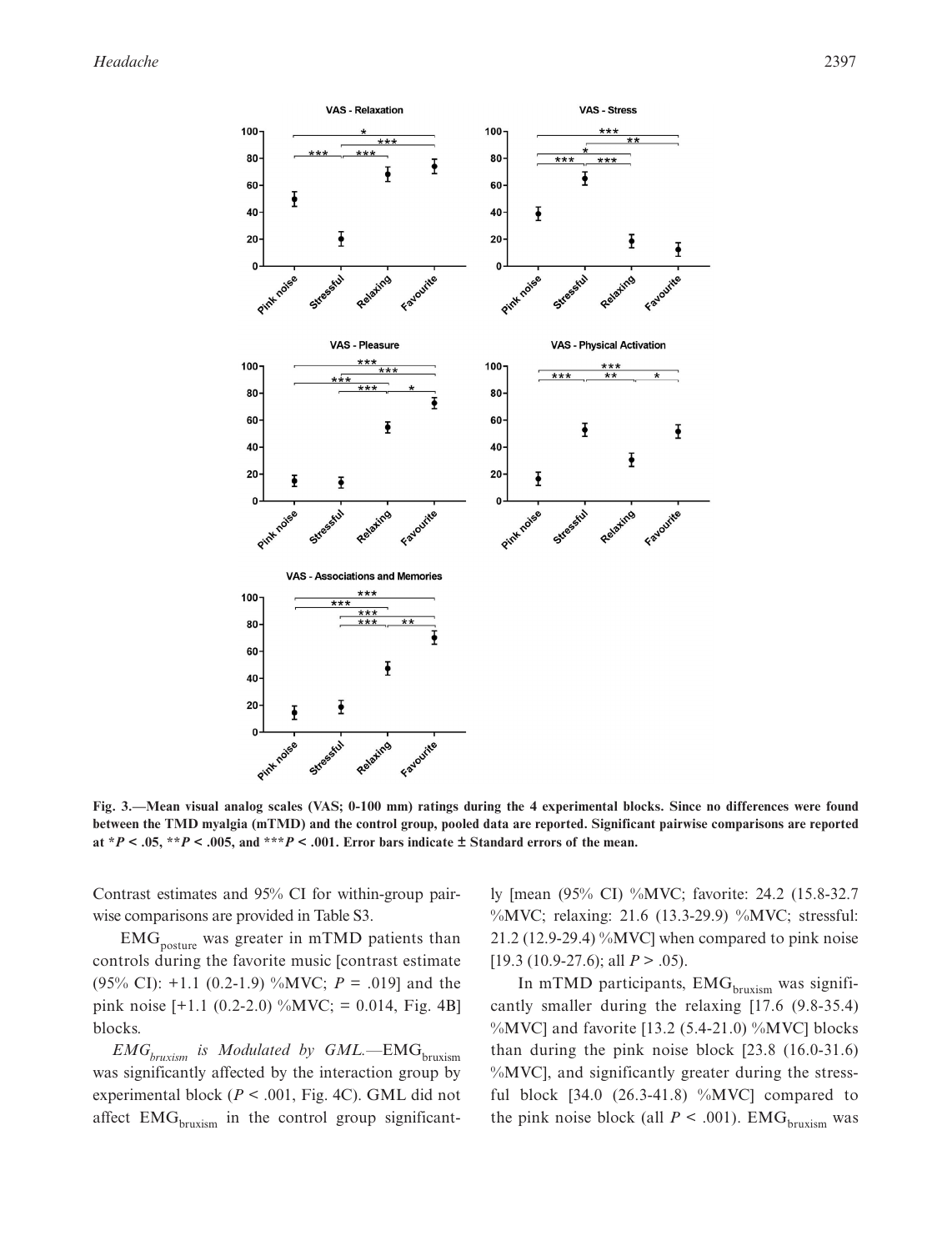

**Fig. 3.—Mean visual analog scales (VAS; 0-100 mm) ratings during the 4 experimental blocks. Since no differences were found between the TMD myalgia (mTMD) and the control group, pooled data are reported. Significant pairwise comparisons are reported at \****P* < .05, \*\**P* < .005, and \*\*\**P* < .001. Error bars indicate  $\pm$  Standard errors of the mean.

Contrast estimates and 95% CI for within-group pairwise comparisons are provided in Table S3.

 $EMG<sub>posture</sub>$  was greater in mTMD patients than controls during the favorite music [contrast estimate (95% CI): +1.1 (0.2-1.9) %MVC; *P* = .019] and the pink noise  $[+1.1 (0.2-2.0) \%$ MVC; = 0.014, Fig. 4B] blocks.

*EMG*<sub>bruxism</sub> is Modulated by GML.—EMG<sub>bruxism</sub> was significantly affected by the interaction group by experimental block (*P* < .001, Fig. 4C). GML did not affect  $EMG<sub>bruxism</sub>$  in the control group significantly [mean (95% CI) %MVC; favorite: 24.2 (15.8-32.7 %MVC; relaxing: 21.6 (13.3-29.9) %MVC; stressful:  $21.2$  (12.9-29.4) %MVC] when compared to pink noise [19.3 (10.9-27.6); all *P* > .05).

In mTMD participants,  $EMG<sub>bruxism</sub>$  was significantly smaller during the relaxing [17.6 (9.8-35.4) %MVC] and favorite  $[13.2 (5.4-21.0)$ %MVC] blocks than during the pink noise block [23.8 (16.0-31.6) %MVC], and significantly greater during the stressful block [34.0 (26.3-41.8) %MVC] compared to the pink noise block (all  $P < .001$ ). EMG<sub>bruxism</sub> was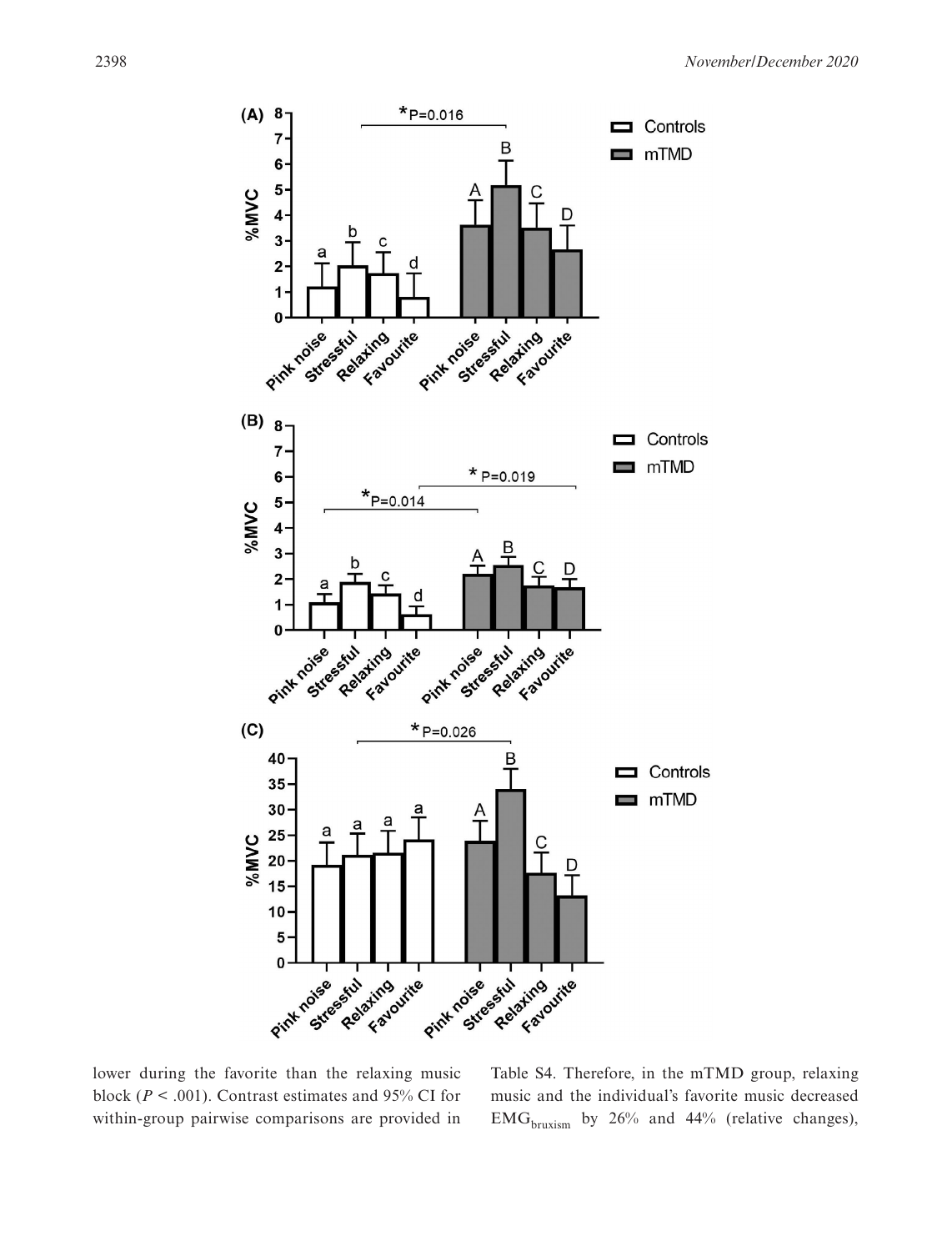

lower during the favorite than the relaxing music block ( $P < .001$ ). Contrast estimates and 95% CI for within-group pairwise comparisons are provided in

Table S4. Therefore, in the mTMD group, relaxing music and the individual's favorite music decreased  $EMG<sub>bruxism</sub>$  by 26% and 44% (relative changes),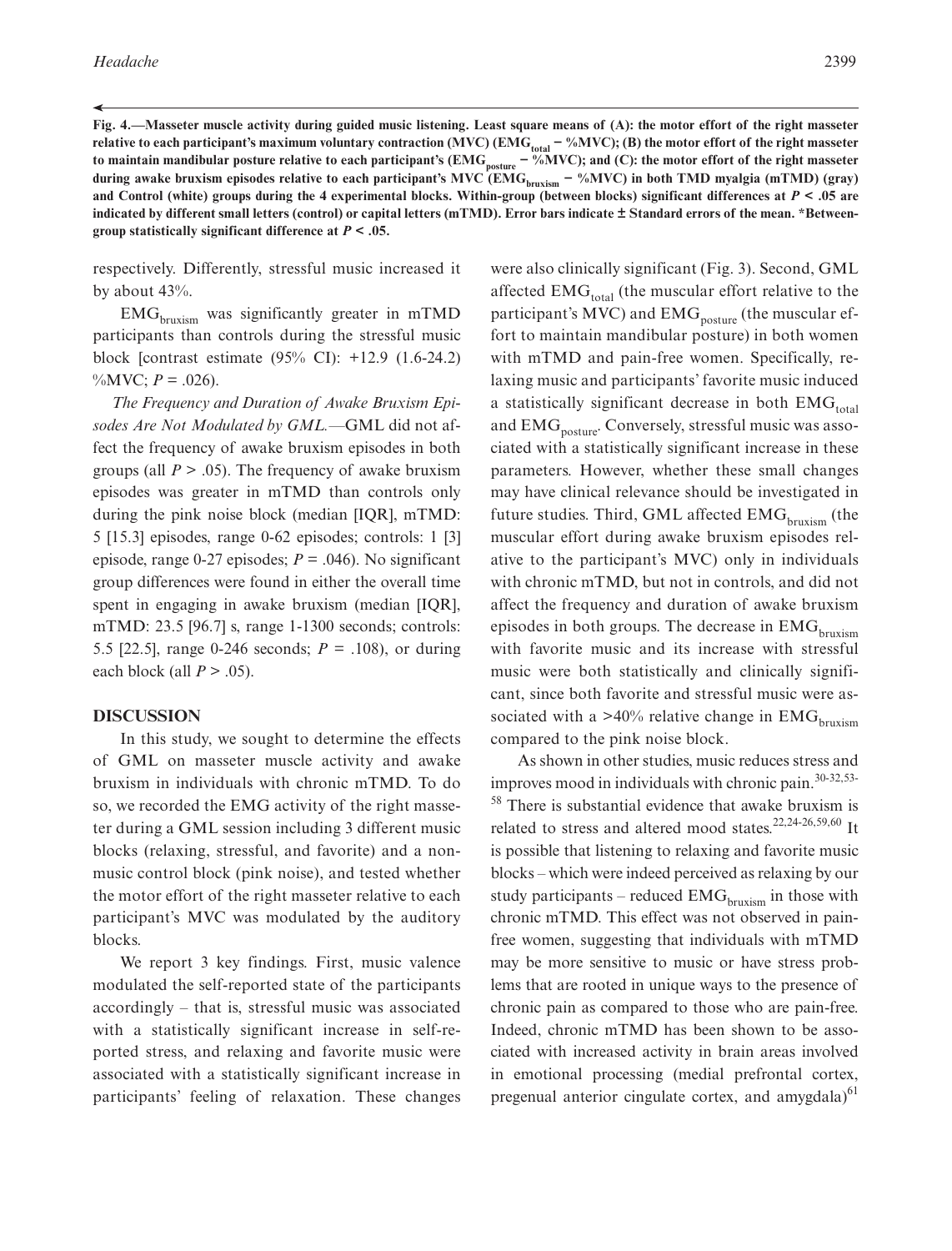**Fig. 4.—Masseter muscle activity during guided music listening. Least square means of (A): the motor effort of the right masseter**  relative to each participant's maximum voluntary contraction (MVC) (EMG<sub>total</sub> − %MVC); (B) the motor effort of the right masseter to maintain mandibular posture relative to each participant's (EMG<sub>posture</sub> − %MVC); and (C): the motor effort of the right masseter during awake bruxism episodes relative to each participant's MVC (EMG<sub>bruxism</sub> − %MVC) in both TMD myalgia (mTMD) (gray) and Control (white) groups during the 4 experimental blocks. Within-group (between blocks) significant differences at  $P < .05$  are **indicated by different small letters (control) or capital letters (mTMD). Error bars indicate ± Standard errors of the mean. \*Betweengroup statistically significant difference at** *P* **< .05.**

respectively. Differently, stressful music increased it by about 43%.

 $EMG<sub>bruxi</sub> was significantly greater in  $mTMD$$ participants than controls during the stressful music block [contrast estimate (95% CI): +12.9 (1.6-24.2) % $MVC$ ;  $P = .026$ ).

*The Frequency and Duration of Awake Bruxism Episodes Are Not Modulated by GML.—*GML did not affect the frequency of awake bruxism episodes in both groups (all  $P > .05$ ). The frequency of awake bruxism episodes was greater in mTMD than controls only during the pink noise block (median [IQR], mTMD: 5 [15.3] episodes, range 0-62 episodes; controls: 1 [3] episode, range 0-27 episodes;  $P = .046$ ). No significant group differences were found in either the overall time spent in engaging in awake bruxism (median [IQR], mTMD: 23.5 [96.7] s, range 1-1300 seconds; controls: 5.5 [22.5], range 0-246 seconds;  $P = .108$ ), or during each block (all  $P > .05$ ).

#### **DISCUSSION**

In this study, we sought to determine the effects of GML on masseter muscle activity and awake bruxism in individuals with chronic mTMD. To do so, we recorded the EMG activity of the right masseter during a GML session including 3 different music blocks (relaxing, stressful, and favorite) and a nonmusic control block (pink noise), and tested whether the motor effort of the right masseter relative to each participant's MVC was modulated by the auditory blocks.

We report 3 key findings. First, music valence modulated the self-reported state of the participants accordingly – that is, stressful music was associated with a statistically significant increase in self-reported stress, and relaxing and favorite music were associated with a statistically significant increase in participants' feeling of relaxation. These changes were also clinically significant (Fig. 3). Second, GML affected  $EMG<sub>total</sub>$  (the muscular effort relative to the participant's MVC) and  $EMG_{\text{posture}}$  (the muscular effort to maintain mandibular posture) in both women with mTMD and pain-free women. Specifically, relaxing music and participants' favorite music induced a statistically significant decrease in both  $EMG<sub>total</sub>$ and  $EMG<sub>posture</sub>$ . Conversely, stressful music was associated with a statistically significant increase in these parameters. However, whether these small changes may have clinical relevance should be investigated in future studies. Third, GML affected  $EMG<sub>bruxism</sub>$  (the muscular effort during awake bruxism episodes relative to the participant's MVC) only in individuals with chronic mTMD, but not in controls, and did not affect the frequency and duration of awake bruxism episodes in both groups. The decrease in  $EMG<sub>bruxism</sub>$ with favorite music and its increase with stressful music were both statistically and clinically significant, since both favorite and stressful music were associated with a  $>40\%$  relative change in EMG<sub>bruxism</sub> compared to the pink noise block.

As shown in other studies, music reduces stress and improves mood in individuals with chronic pain. $30-32,53-$ 58 There is substantial evidence that awake bruxism is related to stress and altered mood states.22,24-26,59,60 It is possible that listening to relaxing and favorite music blocks – which were indeed perceived as relaxing by our study participants – reduced  $EMG<sub>bruxism</sub>$  in those with chronic mTMD. This effect was not observed in painfree women, suggesting that individuals with mTMD may be more sensitive to music or have stress problems that are rooted in unique ways to the presence of chronic pain as compared to those who are pain-free. Indeed, chronic mTMD has been shown to be associated with increased activity in brain areas involved in emotional processing (medial prefrontal cortex, pregenual anterior cingulate cortex, and amygdala) $^{61}$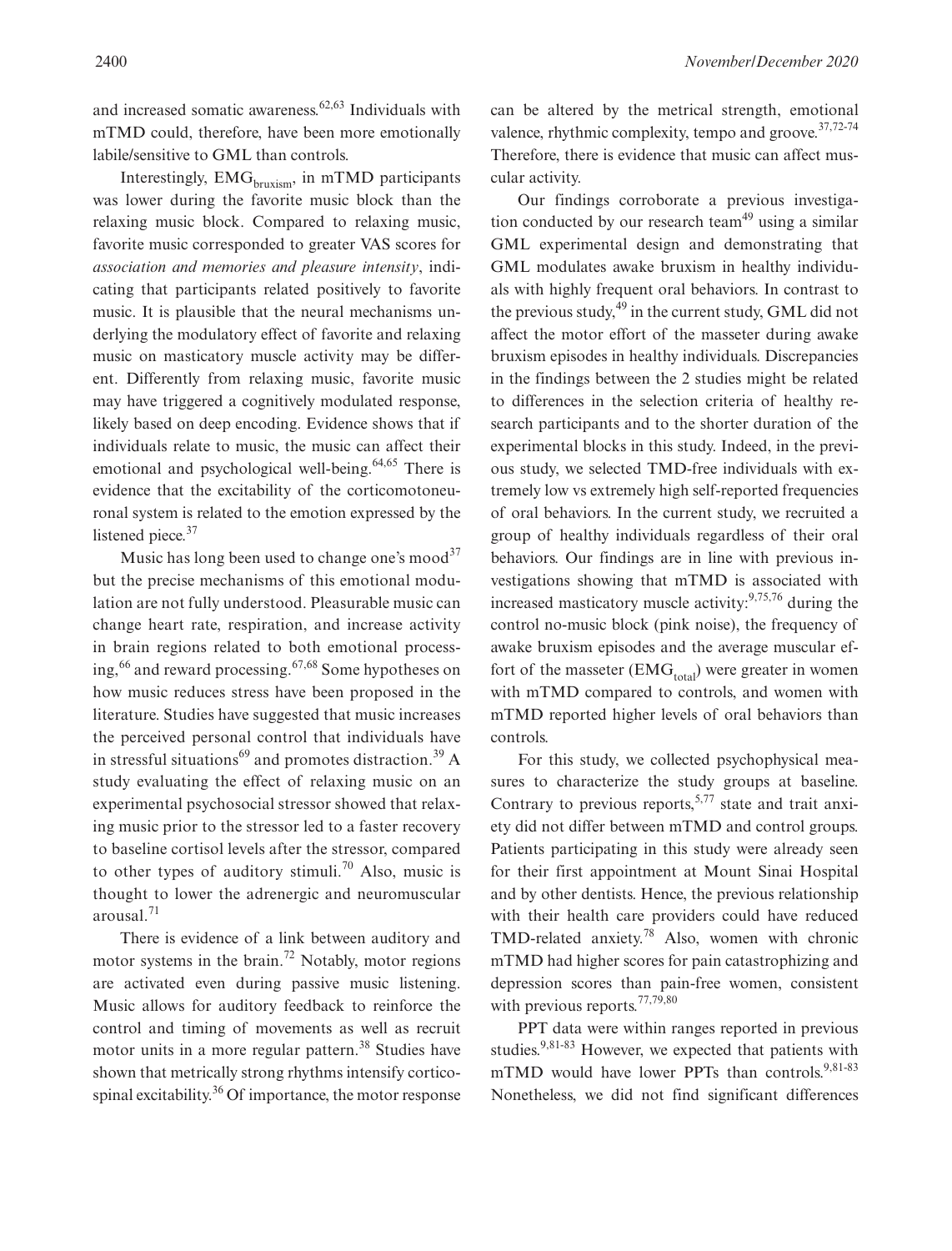and increased somatic awareness. $62,63$  Individuals with mTMD could, therefore, have been more emotionally labile/sensitive to GML than controls.

Interestingly,  $EMG<sub>bruxism</sub>$ , in mTMD participants was lower during the favorite music block than the relaxing music block. Compared to relaxing music, favorite music corresponded to greater VAS scores for *association and memories and pleasure intensity*, indicating that participants related positively to favorite music. It is plausible that the neural mechanisms underlying the modulatory effect of favorite and relaxing music on masticatory muscle activity may be different. Differently from relaxing music, favorite music may have triggered a cognitively modulated response, likely based on deep encoding. Evidence shows that if individuals relate to music, the music can affect their emotional and psychological well-being. $64,65$  There is evidence that the excitability of the corticomotoneuronal system is related to the emotion expressed by the listened piece. $37$ 

Music has long been used to change one's mood<sup>37</sup> but the precise mechanisms of this emotional modulation are not fully understood. Pleasurable music can change heart rate, respiration, and increase activity in brain regions related to both emotional processing,  $^{66}$  and reward processing.  $^{67,68}$  Some hypotheses on how music reduces stress have been proposed in the literature. Studies have suggested that music increases the perceived personal control that individuals have in stressful situations<sup>69</sup> and promotes distraction.<sup>39</sup> A study evaluating the effect of relaxing music on an experimental psychosocial stressor showed that relaxing music prior to the stressor led to a faster recovery to baseline cortisol levels after the stressor, compared to other types of auditory stimuli.<sup>70</sup> Also, music is thought to lower the adrenergic and neuromuscular arousal.<sup>71</sup>

There is evidence of a link between auditory and motor systems in the brain.<sup>72</sup> Notably, motor regions are activated even during passive music listening. Music allows for auditory feedback to reinforce the control and timing of movements as well as recruit motor units in a more regular pattern.<sup>38</sup> Studies have shown that metrically strong rhythms intensify corticospinal excitability.<sup>36</sup> Of importance, the motor response

can be altered by the metrical strength, emotional valence, rhythmic complexity, tempo and groove. $37,72-74$ Therefore, there is evidence that music can affect muscular activity.

Our findings corroborate a previous investigation conducted by our research team<sup>49</sup> using a similar GML experimental design and demonstrating that GML modulates awake bruxism in healthy individuals with highly frequent oral behaviors. In contrast to the previous study,  $49$  in the current study, GML did not affect the motor effort of the masseter during awake bruxism episodes in healthy individuals. Discrepancies in the findings between the 2 studies might be related to differences in the selection criteria of healthy research participants and to the shorter duration of the experimental blocks in this study. Indeed, in the previous study, we selected TMD-free individuals with extremely low vs extremely high self-reported frequencies of oral behaviors. In the current study, we recruited a group of healthy individuals regardless of their oral behaviors. Our findings are in line with previous investigations showing that mTMD is associated with increased masticatory muscle activity: $9,75,76$  during the control no-music block (pink noise), the frequency of awake bruxism episodes and the average muscular effort of the masseter  $(EMG<sub>total</sub>)$  were greater in women with mTMD compared to controls, and women with mTMD reported higher levels of oral behaviors than controls.

For this study, we collected psychophysical measures to characterize the study groups at baseline. Contrary to previous reports,  $5.77$  state and trait anxiety did not differ between mTMD and control groups. Patients participating in this study were already seen for their first appointment at Mount Sinai Hospital and by other dentists. Hence, the previous relationship with their health care providers could have reduced TMD-related anxiety.78 Also, women with chronic mTMD had higher scores for pain catastrophizing and depression scores than pain-free women, consistent with previous reports. $77,79,80$ 

PPT data were within ranges reported in previous studies.  $9,81-83$  However, we expected that patients with mTMD would have lower PPTs than controls.<sup>9,81-83</sup> Nonetheless, we did not find significant differences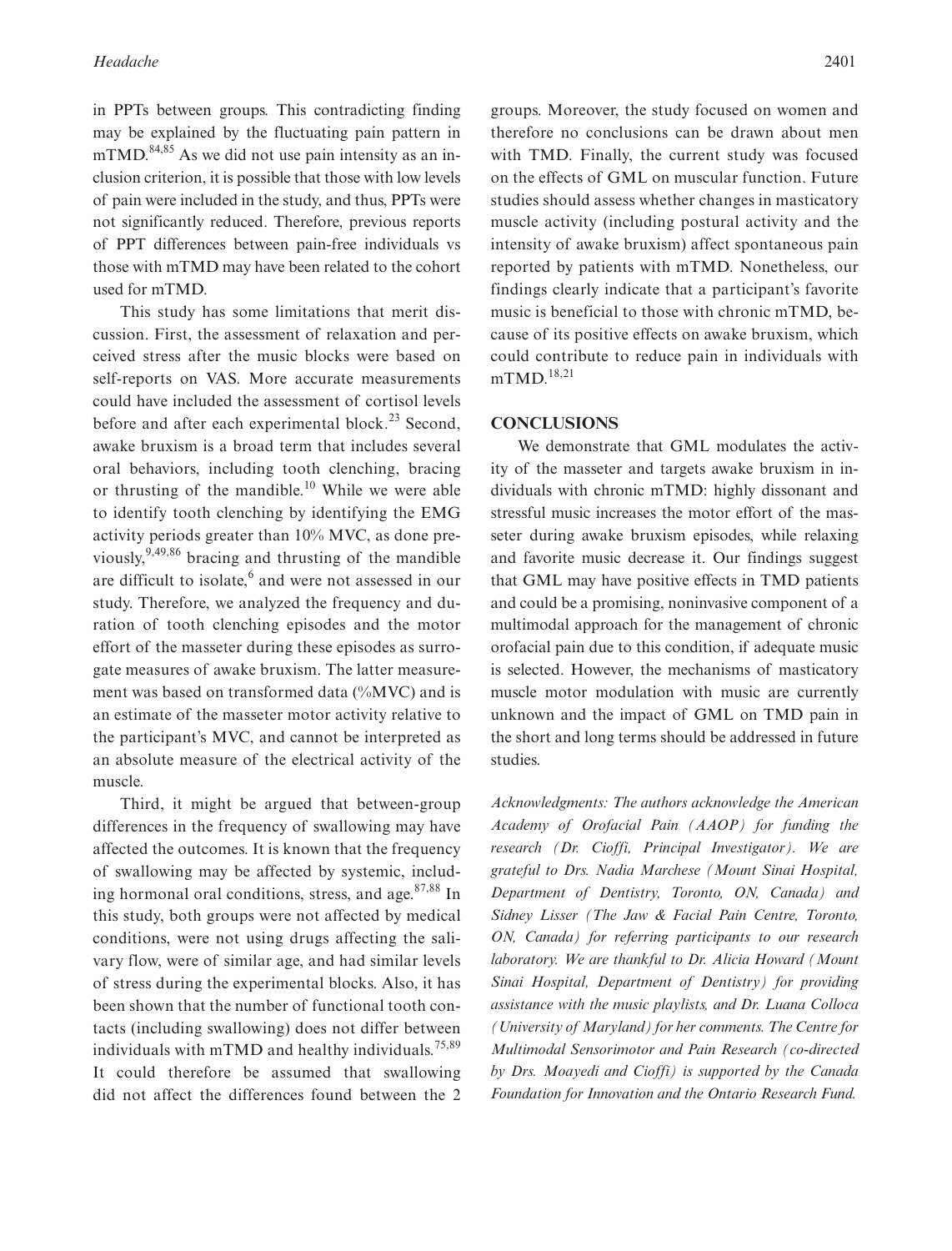in PPTs between groups. This contradicting finding may be explained by the fluctuating pain pattern in  $mTMD$ ,  $84,85$  As we did not use pain intensity as an inclusion criterion, it is possible that those with low levels of pain were included in the study, and thus, PPTs were not significantly reduced. Therefore, previous reports of PPT differences between pain-free individuals vs those with mTMD may have been related to the cohort used for mTMD.

This study has some limitations that merit discussion. First, the assessment of relaxation and perceived stress after the music blocks were based on self-reports on VAS. More accurate measurements could have included the assessment of cortisol levels before and after each experimental block.<sup>23</sup> Second, awake bruxism is a broad term that includes several oral behaviors, including tooth clenching, bracing or thrusting of the mandible.<sup>10</sup> While we were able to identify tooth clenching by identifying the EMG activity periods greater than 10% MVC, as done previously,  $9,49,86$  bracing and thrusting of the mandible are difficult to isolate,<sup>6</sup> and were not assessed in our study. Therefore, we analyzed the frequency and duration of tooth clenching episodes and the motor effort of the masseter during these episodes as surrogate measures of awake bruxism. The latter measurement was based on transformed data (%MVC) and is an estimate of the masseter motor activity relative to the participant's MVC, and cannot be interpreted as an absolute measure of the electrical activity of the muscle.

Third, it might be argued that between-group differences in the frequency of swallowing may have affected the outcomes. It is known that the frequency of swallowing may be affected by systemic, including hormonal oral conditions, stress, and age.<sup>87,88</sup> In this study, both groups were not affected by medical conditions, were not using drugs affecting the salivary flow, were of similar age, and had similar levels of stress during the experimental blocks. Also, it has been shown that the number of functional tooth contacts (including swallowing) does not differ between individuals with mTMD and healthy individuals.<sup>75,89</sup> It could therefore be assumed that swallowing did not affect the differences found between the 2

groups. Moreover, the study focused on women and therefore no conclusions can be drawn about men with TMD. Finally, the current study was focused on the effects of GML on muscular function. Future studies should assess whether changes in masticatory muscle activity (including postural activity and the intensity of awake bruxism) affect spontaneous pain reported by patients with mTMD. Nonetheless, our findings clearly indicate that a participant's favorite music is beneficial to those with chronic mTMD, because of its positive effects on awake bruxism, which could contribute to reduce pain in individuals with  $mTMD.$ <sup>18,21</sup>

#### **CONCLUSIONS**

We demonstrate that GML modulates the activity of the masseter and targets awake bruxism in individuals with chronic mTMD: highly dissonant and stressful music increases the motor effort of the masseter during awake bruxism episodes, while relaxing and favorite music decrease it. Our findings suggest that GML may have positive effects in TMD patients and could be a promising, noninvasive component of a multimodal approach for the management of chronic orofacial pain due to this condition, if adequate music is selected. However, the mechanisms of masticatory muscle motor modulation with music are currently unknown and the impact of GML on TMD pain in the short and long terms should be addressed in future studies.

*Acknowledgments: The authors acknowledge the American Academy of Orofacial Pain (AAOP) for funding the research (Dr. Cioffi, Principal Investigator). We are grateful to Drs. Nadia Marchese (Mount Sinai Hospital, Department of Dentistry, Toronto, ON, Canada) and Sidney Lisser (The Jaw & Facial Pain Centre, Toronto, ON, Canada) for referring participants to our research laboratory. We are thankful to Dr. Alicia Howard (Mount Sinai Hospital, Department of Dentistry) for providing assistance with the music playlists, and Dr. Luana Colloca (University of Maryland) for her comments. The Centre for Multimodal Sensorimotor and Pain Research (co-directed by Drs. Moayedi and Cioffi) is supported by the Canada Foundation for Innovation and the Ontario Research Fund.*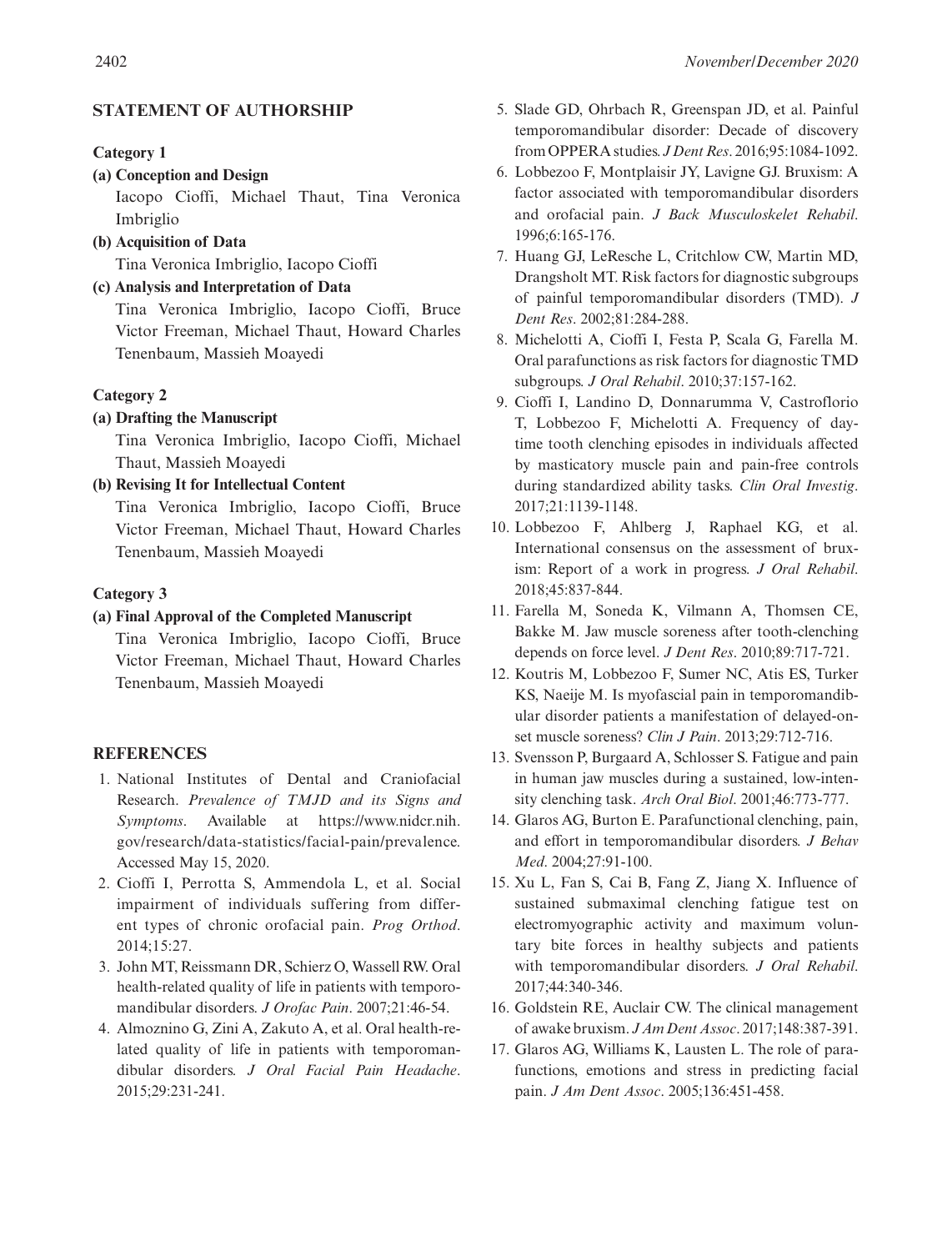#### **STATEMENT OF AUTHORSHIP**

#### **Category 1**

#### **(a) Conception and Design**

Iacopo Cioffi, Michael Thaut, Tina Veronica Imbriglio

**(b) Acquisition of Data**

Tina Veronica Imbriglio, Iacopo Cioffi

**(c) Analysis and Interpretation of Data**

Tina Veronica Imbriglio, Iacopo Cioffi, Bruce Victor Freeman, Michael Thaut, Howard Charles Tenenbaum, Massieh Moayedi

#### **Category 2**

#### **(a) Drafting the Manuscript**

Tina Veronica Imbriglio, Iacopo Cioffi, Michael Thaut, Massieh Moayedi

**(b) Revising It for Intellectual Content**

Tina Veronica Imbriglio, Iacopo Cioffi, Bruce Victor Freeman, Michael Thaut, Howard Charles Tenenbaum, Massieh Moayedi

#### **Category 3**

#### **(a) Final Approval of the Completed Manuscript**

Tina Veronica Imbriglio, Iacopo Cioffi, Bruce Victor Freeman, Michael Thaut, Howard Charles Tenenbaum, Massieh Moayedi

#### **REFERENCES**

- 1. National Institutes of Dental and Craniofacial Research. *Prevalence of TMJD and its Signs and Symptoms*. Available at [https://www.nidcr.nih.](https://www.nidcr.nih.gov/research/data-statistics/facial-pain/prevalence) [gov/research/data-statistics/facial-pain/prevalence.](https://www.nidcr.nih.gov/research/data-statistics/facial-pain/prevalence) Accessed May 15, 2020.
- 2. Cioffi I, Perrotta S, Ammendola L, et al. Social impairment of individuals suffering from different types of chronic orofacial pain. *Prog Orthod*. 2014;15:27.
- 3. John MT, Reissmann DR, Schierz O, Wassell RW. Oral health-related quality of life in patients with temporomandibular disorders. *J Orofac Pain*. 2007;21:46-54.
- 4. Almoznino G, Zini A, Zakuto A, et al. Oral health-related quality of life in patients with temporomandibular disorders. *J Oral Facial Pain Headache*. 2015;29:231-241.
- 5. Slade GD, Ohrbach R, Greenspan JD, et al. Painful temporomandibular disorder: Decade of discovery from OPPERA studies. *J Dent Res*. 2016;95:1084-1092.
- 6. Lobbezoo F, Montplaisir JY, Lavigne GJ. Bruxism: A factor associated with temporomandibular disorders and orofacial pain. *J Back Musculoskelet Rehabil*. 1996;6:165-176.
- 7. Huang GJ, LeResche L, Critchlow CW, Martin MD, Drangsholt MT. Risk factors for diagnostic subgroups of painful temporomandibular disorders (TMD). *J Dent Res*. 2002;81:284-288.
- 8. Michelotti A, Cioffi I, Festa P, Scala G, Farella M. Oral parafunctions as risk factors for diagnostic TMD subgroups. *J Oral Rehabil*. 2010;37:157-162.
- 9. Cioffi I, Landino D, Donnarumma V, Castroflorio T, Lobbezoo F, Michelotti A. Frequency of daytime tooth clenching episodes in individuals affected by masticatory muscle pain and pain-free controls during standardized ability tasks. *Clin Oral Investig*. 2017;21:1139-1148.
- 10. Lobbezoo F, Ahlberg J, Raphael KG, et al. International consensus on the assessment of bruxism: Report of a work in progress. *J Oral Rehabil*. 2018;45:837-844.
- 11. Farella M, Soneda K, Vilmann A, Thomsen CE, Bakke M. Jaw muscle soreness after tooth-clenching depends on force level. *J Dent Res*. 2010;89:717-721.
- 12. Koutris M, Lobbezoo F, Sumer NC, Atis ES, Turker KS, Naeije M. Is myofascial pain in temporomandibular disorder patients a manifestation of delayed-onset muscle soreness? *Clin J Pain*. 2013;29:712-716.
- 13. Svensson P, Burgaard A, Schlosser S. Fatigue and pain in human jaw muscles during a sustained, low-intensity clenching task. *Arch Oral Biol*. 2001;46:773-777.
- 14. Glaros AG, Burton E. Parafunctional clenching, pain, and effort in temporomandibular disorders. *J Behav Med*. 2004;27:91-100.
- 15. Xu L, Fan S, Cai B, Fang Z, Jiang X. Influence of sustained submaximal clenching fatigue test on electromyographic activity and maximum voluntary bite forces in healthy subjects and patients with temporomandibular disorders. *J Oral Rehabil*. 2017;44:340-346.
- 16. Goldstein RE, Auclair CW. The clinical management of awake bruxism. *J Am Dent Assoc*. 2017;148:387-391.
- 17. Glaros AG, Williams K, Lausten L. The role of parafunctions, emotions and stress in predicting facial pain. *J Am Dent Assoc*. 2005;136:451-458.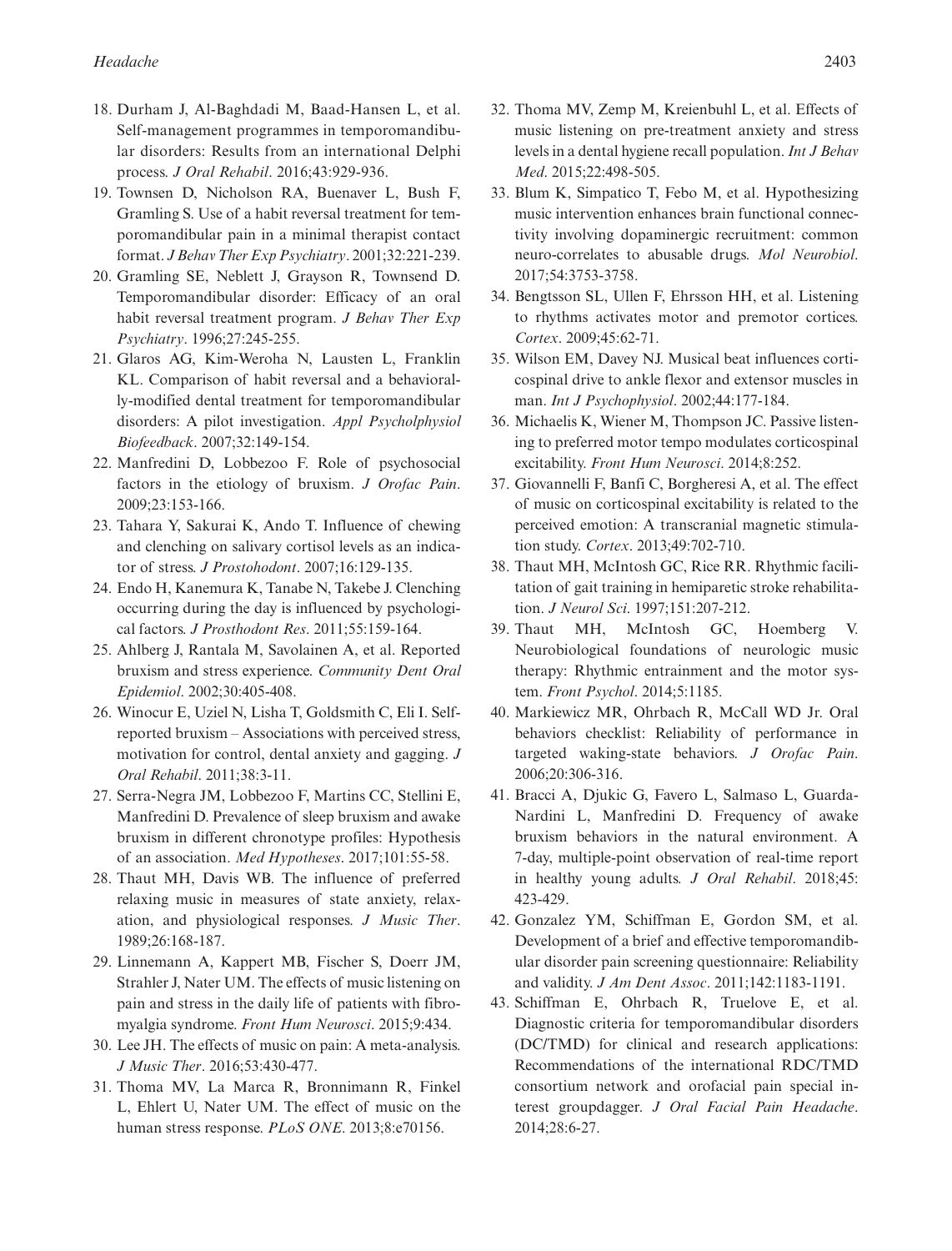- 18. Durham J, Al-Baghdadi M, Baad-Hansen L, et al. Self-management programmes in temporomandibular disorders: Results from an international Delphi process. *J Oral Rehabil*. 2016;43:929-936.
- 19. Townsen D, Nicholson RA, Buenaver L, Bush F, Gramling S. Use of a habit reversal treatment for temporomandibular pain in a minimal therapist contact format. *J Behav Ther Exp Psychiatry*. 2001;32:221-239.
- 20. Gramling SE, Neblett J, Grayson R, Townsend D. Temporomandibular disorder: Efficacy of an oral habit reversal treatment program. *J Behav Ther Exp Psychiatry*. 1996;27:245-255.
- 21. Glaros AG, Kim-Weroha N, Lausten L, Franklin KL. Comparison of habit reversal and a behaviorally-modified dental treatment for temporomandibular disorders: A pilot investigation. *Appl Psycholphysiol Biofeedback*. 2007;32:149-154.
- 22. Manfredini D, Lobbezoo F. Role of psychosocial factors in the etiology of bruxism. *J Orofac Pain*. 2009;23:153-166.
- 23. Tahara Y, Sakurai K, Ando T. Influence of chewing and clenching on salivary cortisol levels as an indicator of stress. *J Prostohodont*. 2007;16:129-135.
- 24. Endo H, Kanemura K, Tanabe N, Takebe J. Clenching occurring during the day is influenced by psychological factors. *J Prosthodont Res*. 2011;55:159-164.
- 25. Ahlberg J, Rantala M, Savolainen A, et al. Reported bruxism and stress experience. *Community Dent Oral Epidemiol*. 2002;30:405-408.
- 26. Winocur E, Uziel N, Lisha T, Goldsmith C, Eli I. Selfreported bruxism – Associations with perceived stress, motivation for control, dental anxiety and gagging. *J Oral Rehabil*. 2011;38:3-11.
- 27. Serra-Negra JM, Lobbezoo F, Martins CC, Stellini E, Manfredini D. Prevalence of sleep bruxism and awake bruxism in different chronotype profiles: Hypothesis of an association. *Med Hypotheses*. 2017;101:55-58.
- 28. Thaut MH, Davis WB. The influence of preferred relaxing music in measures of state anxiety, relaxation, and physiological responses. *J Music Ther*. 1989;26:168-187.
- 29. Linnemann A, Kappert MB, Fischer S, Doerr JM, Strahler J, Nater UM. The effects of music listening on pain and stress in the daily life of patients with fibromyalgia syndrome. *Front Hum Neurosci*. 2015;9:434.
- 30. Lee JH. The effects of music on pain: A meta-analysis. *J Music Ther*. 2016;53:430-477.
- 31. Thoma MV, La Marca R, Bronnimann R, Finkel L, Ehlert U, Nater UM. The effect of music on the human stress response. *PLoS ONE*. 2013;8:e70156.
- 32. Thoma MV, Zemp M, Kreienbuhl L, et al. Effects of music listening on pre-treatment anxiety and stress levels in a dental hygiene recall population. *Int J Behav Med*. 2015;22:498-505.
- 33. Blum K, Simpatico T, Febo M, et al. Hypothesizing music intervention enhances brain functional connectivity involving dopaminergic recruitment: common neuro-correlates to abusable drugs. *Mol Neurobiol*. 2017;54:3753-3758.
- 34. Bengtsson SL, Ullen F, Ehrsson HH, et al. Listening to rhythms activates motor and premotor cortices. *Cortex*. 2009;45:62-71.
- 35. Wilson EM, Davey NJ. Musical beat influences corticospinal drive to ankle flexor and extensor muscles in man. *Int J Psychophysiol*. 2002;44:177-184.
- 36. Michaelis K, Wiener M, Thompson JC. Passive listening to preferred motor tempo modulates corticospinal excitability. *Front Hum Neurosci*. 2014;8:252.
- 37. Giovannelli F, Banfi C, Borgheresi A, et al. The effect of music on corticospinal excitability is related to the perceived emotion: A transcranial magnetic stimulation study. *Cortex*. 2013;49:702-710.
- 38. Thaut MH, McIntosh GC, Rice RR. Rhythmic facilitation of gait training in hemiparetic stroke rehabilitation. *J Neurol Sci*. 1997;151:207-212.
- 39. Thaut MH, McIntosh GC, Hoemberg V. Neurobiological foundations of neurologic music therapy: Rhythmic entrainment and the motor system. *Front Psychol*. 2014;5:1185.
- 40. Markiewicz MR, Ohrbach R, McCall WD Jr. Oral behaviors checklist: Reliability of performance in targeted waking-state behaviors. *J Orofac Pain*. 2006;20:306-316.
- 41. Bracci A, Djukic G, Favero L, Salmaso L, Guarda-Nardini L, Manfredini D. Frequency of awake bruxism behaviors in the natural environment. A 7-day, multiple-point observation of real-time report in healthy young adults. *J Oral Rehabil*. 2018;45: 423-429.
- 42. Gonzalez YM, Schiffman E, Gordon SM, et al. Development of a brief and effective temporomandibular disorder pain screening questionnaire: Reliability and validity. *J Am Dent Assoc*. 2011;142:1183-1191.
- 43. Schiffman E, Ohrbach R, Truelove E, et al. Diagnostic criteria for temporomandibular disorders (DC/TMD) for clinical and research applications: Recommendations of the international RDC/TMD consortium network and orofacial pain special interest groupdagger. *J Oral Facial Pain Headache*. 2014;28:6-27.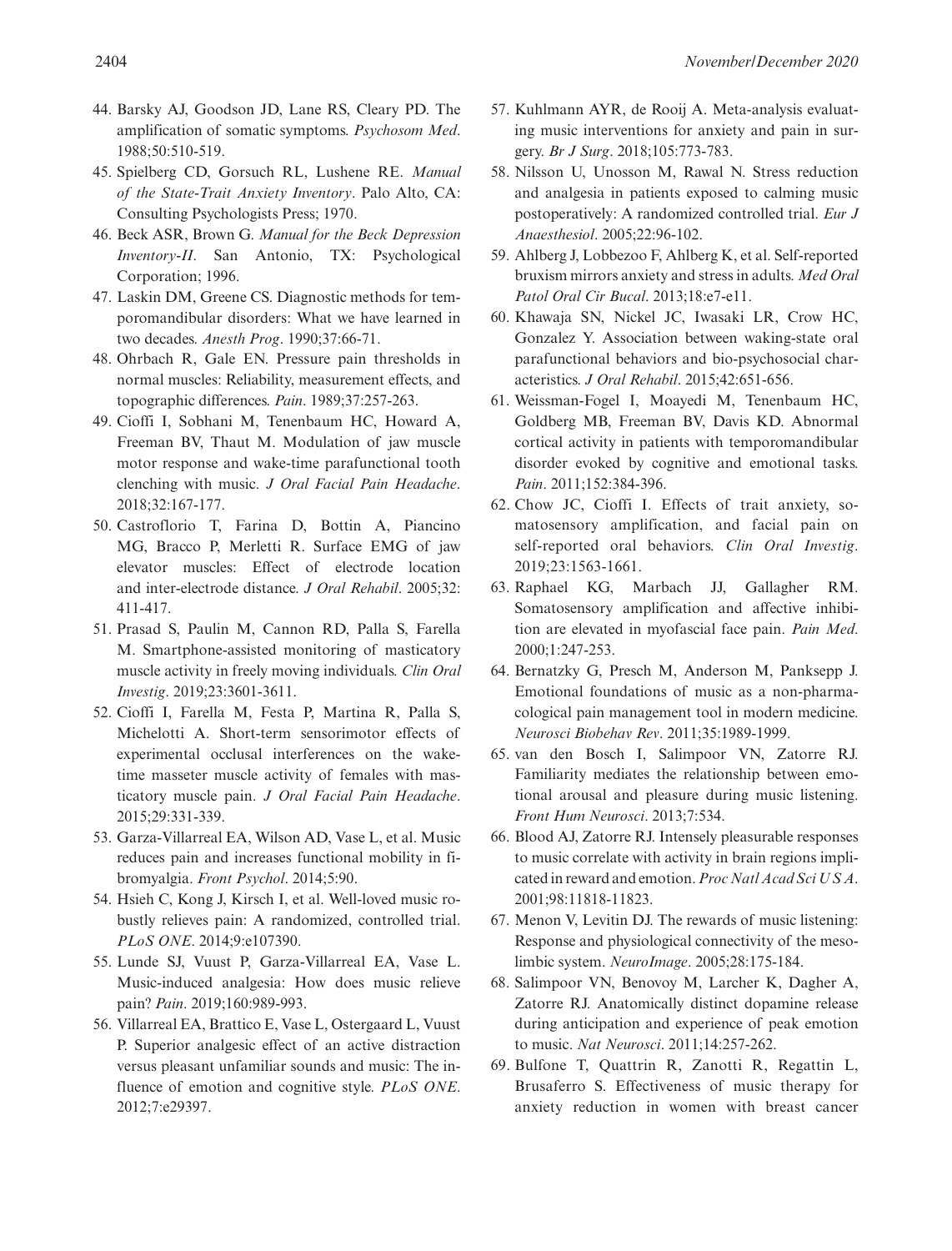- 44. Barsky AJ, Goodson JD, Lane RS, Cleary PD. The amplification of somatic symptoms. *Psychosom Med*. 1988;50:510-519.
- 45. Spielberg CD, Gorsuch RL, Lushene RE. *Manual of the State-Trait Anxiety Inventory*. Palo Alto, CA: Consulting Psychologists Press; 1970.
- 46. Beck ASR, Brown G. *Manual for the Beck Depression Inventory-II*. San Antonio, TX: Psychological Corporation; 1996.
- 47. Laskin DM, Greene CS. Diagnostic methods for temporomandibular disorders: What we have learned in two decades. *Anesth Prog*. 1990;37:66-71.
- 48. Ohrbach R, Gale EN. Pressure pain thresholds in normal muscles: Reliability, measurement effects, and topographic differences. *Pain*. 1989;37:257-263.
- 49. Cioffi I, Sobhani M, Tenenbaum HC, Howard A, Freeman BV, Thaut M. Modulation of jaw muscle motor response and wake-time parafunctional tooth clenching with music. *J Oral Facial Pain Headache*. 2018;32:167-177.
- 50. Castroflorio T, Farina D, Bottin A, Piancino MG, Bracco P, Merletti R. Surface EMG of jaw elevator muscles: Effect of electrode location and inter-electrode distance. *J Oral Rehabil*. 2005;32: 411-417.
- 51. Prasad S, Paulin M, Cannon RD, Palla S, Farella M. Smartphone-assisted monitoring of masticatory muscle activity in freely moving individuals. *Clin Oral Investig*. 2019;23:3601-3611.
- 52. Cioffi I, Farella M, Festa P, Martina R, Palla S, Michelotti A. Short-term sensorimotor effects of experimental occlusal interferences on the waketime masseter muscle activity of females with masticatory muscle pain. *J Oral Facial Pain Headache*. 2015;29:331-339.
- 53. Garza-Villarreal EA, Wilson AD, Vase L, et al. Music reduces pain and increases functional mobility in fibromyalgia. *Front Psychol*. 2014;5:90.
- 54. Hsieh C, Kong J, Kirsch I, et al. Well-loved music robustly relieves pain: A randomized, controlled trial. *PLoS ONE*. 2014;9:e107390.
- 55. Lunde SJ, Vuust P, Garza-Villarreal EA, Vase L. Music-induced analgesia: How does music relieve pain? *Pain*. 2019;160:989-993.
- 56. Villarreal EA, Brattico E, Vase L, Ostergaard L, Vuust P. Superior analgesic effect of an active distraction versus pleasant unfamiliar sounds and music: The influence of emotion and cognitive style. *PLoS ONE*. 2012;7:e29397.
- 57. Kuhlmann AYR, de Rooij A. Meta-analysis evaluating music interventions for anxiety and pain in surgery. *Br J Surg*. 2018;105:773-783.
- 58. Nilsson U, Unosson M, Rawal N. Stress reduction and analgesia in patients exposed to calming music postoperatively: A randomized controlled trial. *Eur J Anaesthesiol*. 2005;22:96-102.
- 59. Ahlberg J, Lobbezoo F, Ahlberg K, et al. Self-reported bruxism mirrors anxiety and stress in adults. *Med Oral Patol Oral Cir Bucal*. 2013;18:e7-e11.
- 60. Khawaja SN, Nickel JC, Iwasaki LR, Crow HC, Gonzalez Y. Association between waking-state oral parafunctional behaviors and bio-psychosocial characteristics. *J Oral Rehabil*. 2015;42:651-656.
- 61. Weissman-Fogel I, Moayedi M, Tenenbaum HC, Goldberg MB, Freeman BV, Davis KD. Abnormal cortical activity in patients with temporomandibular disorder evoked by cognitive and emotional tasks. *Pain*. 2011;152:384-396.
- 62. Chow JC, Cioffi I. Effects of trait anxiety, somatosensory amplification, and facial pain on self-reported oral behaviors. *Clin Oral Investig*. 2019;23:1563-1661.
- 63. Raphael KG, Marbach JJ, Gallagher RM. Somatosensory amplification and affective inhibition are elevated in myofascial face pain. *Pain Med*. 2000;1:247-253.
- 64. Bernatzky G, Presch M, Anderson M, Panksepp J. Emotional foundations of music as a non-pharmacological pain management tool in modern medicine. *Neurosci Biobehav Rev*. 2011;35:1989-1999.
- 65. van den Bosch I, Salimpoor VN, Zatorre RJ. Familiarity mediates the relationship between emotional arousal and pleasure during music listening. *Front Hum Neurosci*. 2013;7:534.
- 66. Blood AJ, Zatorre RJ. Intensely pleasurable responses to music correlate with activity in brain regions implicated in reward and emotion. *Proc Natl Acad Sci U S A*. 2001;98:11818-11823.
- 67. Menon V, Levitin DJ. The rewards of music listening: Response and physiological connectivity of the mesolimbic system. *NeuroImage*. 2005;28:175-184.
- 68. Salimpoor VN, Benovoy M, Larcher K, Dagher A, Zatorre RJ. Anatomically distinct dopamine release during anticipation and experience of peak emotion to music. *Nat Neurosci*. 2011;14:257-262.
- 69. Bulfone T, Quattrin R, Zanotti R, Regattin L, Brusaferro S. Effectiveness of music therapy for anxiety reduction in women with breast cancer